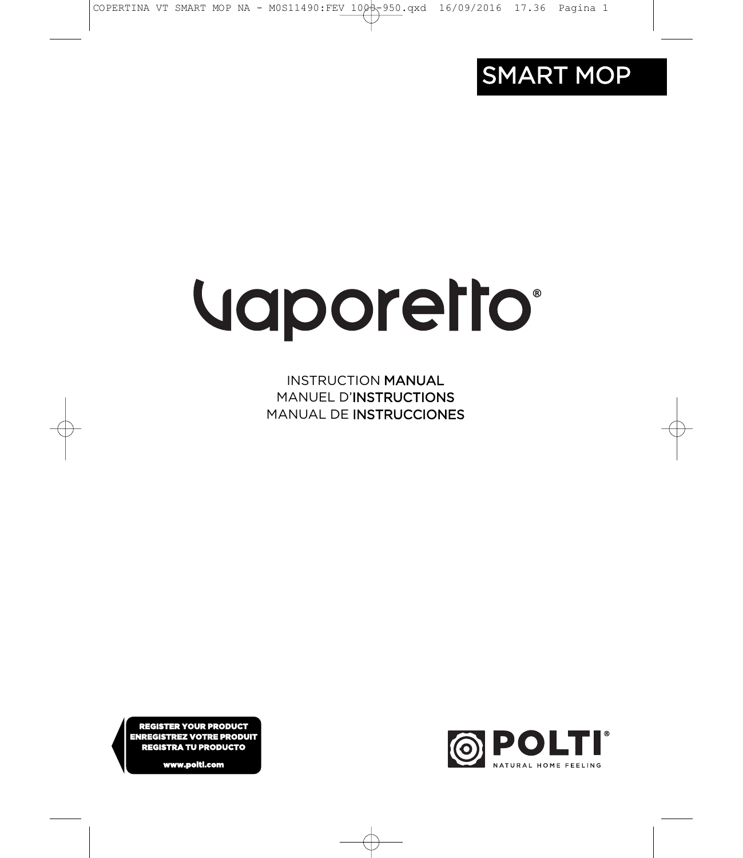

# Vaporetto®

**INSTRUCTION MANUAL MANUEL D'INSTRUCTIONS** MANUAL DE INSTRUCCIONES

REGISTER YOUR PRODUCT ENREGISTREZ VOTRE PRODUIT REGISTRA TU PRODUCTO

ww.nolti.c

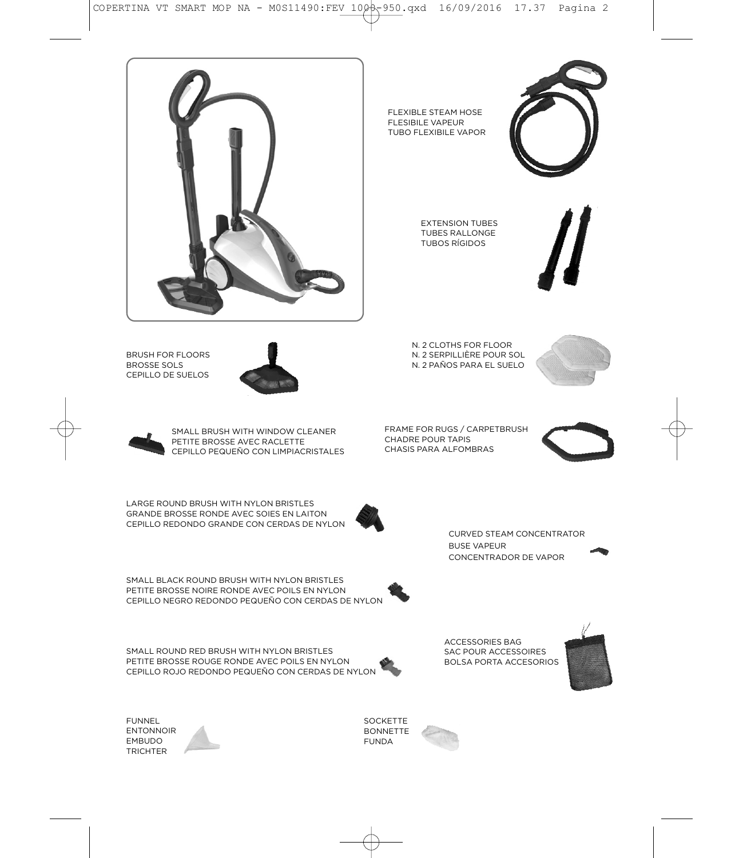FUNNEL<br>ENTONNOIR EMBUDO TRICHTER

PETITE BROSSE ROUGE RONDE AVEC POILS EN NYLON CEPILLO ROJO REDONDO PEQUEÑO CON CERDAS DE NYLON

SMALL ROUND RED BRUSH WITH NYLON BRISTLES

SMALL BLACK ROUND BRUSH WITH NYLON BRISTLES PETITE BROSSE NOIRE RONDE AVEC POILS EN NYLON CEPILLO NEGRO REDONDO PEQUEÑO CON CERDAS DE NYLON

CEPILLO REDONDO GRANDE CON CERDAS DE NYLON

LARGE ROUND BRUSH WITH NYLON BRISTLES<br>GRANDE BROSSE RONDE AVEC SOIES EN LAITON

PETITE BROSSE AVEC RACLETTE CEPILLO PEQUEÑO CON LIMPIACRISTALES

SMALL BRUSH WITH WINDOW CLEANER







FRAME FOR RUGS / CARPETBRUSH CHADRE POUR TAPIS CHASIS PARA ALFOMBRAS



**CURVED STEAM CONCENTRATOR** BUSE VAPEUR CONCENTRADOR DE VAPOR







ACCESSORIES BAG<br>SAC POUR ACCESSOIRES BOLSA PORTA ACCESORIOS

SOCKETTE<br>BONNETTE FUNDA







FLEXIBLE STEAM HOSE FLESIBILE VAPEUR TUBO FLEXIBILE VAPOR

> EXTENSION TUBES<br>TUBES RALLONGE **TUBOS RÍGIDOS**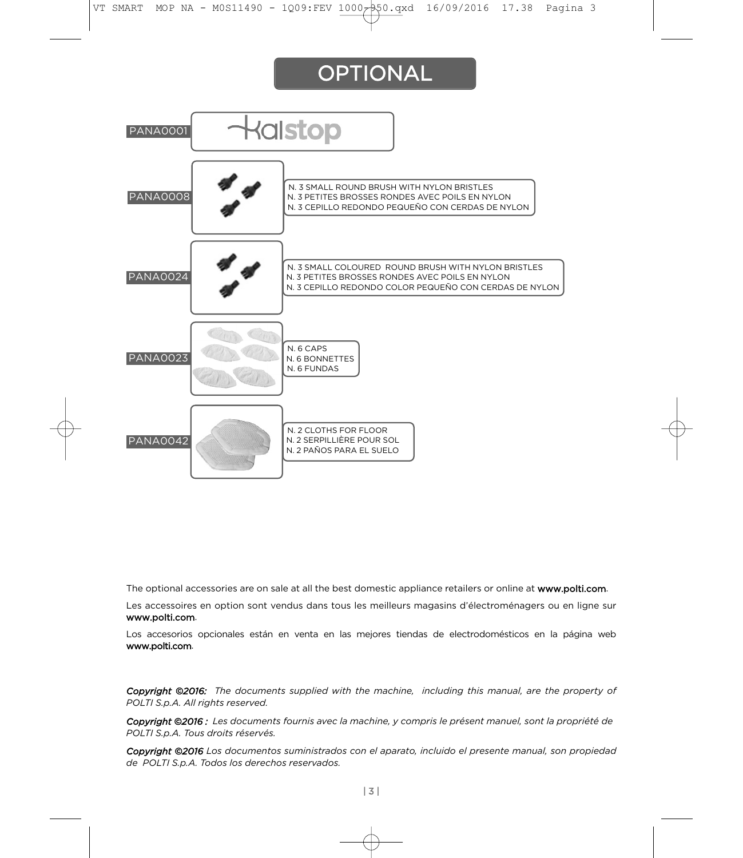# **OPTIONAL**



The optional accessories are on sale at all the best domestic appliance retailers or online at www.po**lti.com**.<br>Les accessoires en option sont vendus dans tous les meilleurs magasins d'électroménagers ou en ligne sur

www.polti.com.

Los accesorios opcionales están en venta en las mejores tiendas de electrodomésticos en la página web Los accesorios opcionales están en venta en las mejores tiendas de electrodomésticos en la página web ww.politica.com

*Copyright ©2016: The documents supplied with the machine, including this manual, are the property of POLTI S.p.A. All rights reserved.*

*Copyright ©2016 : Les documents fournis avec la machine, y compris le présent manuel, sont la propriété de POLTI S.p.A. Tous droits réservés.*

*Copyright ©2016 Los documentos suministrados con el aparato, incluido el presente manual, son propiedad de POLTI S.p.A. Todos los derechos reservados.*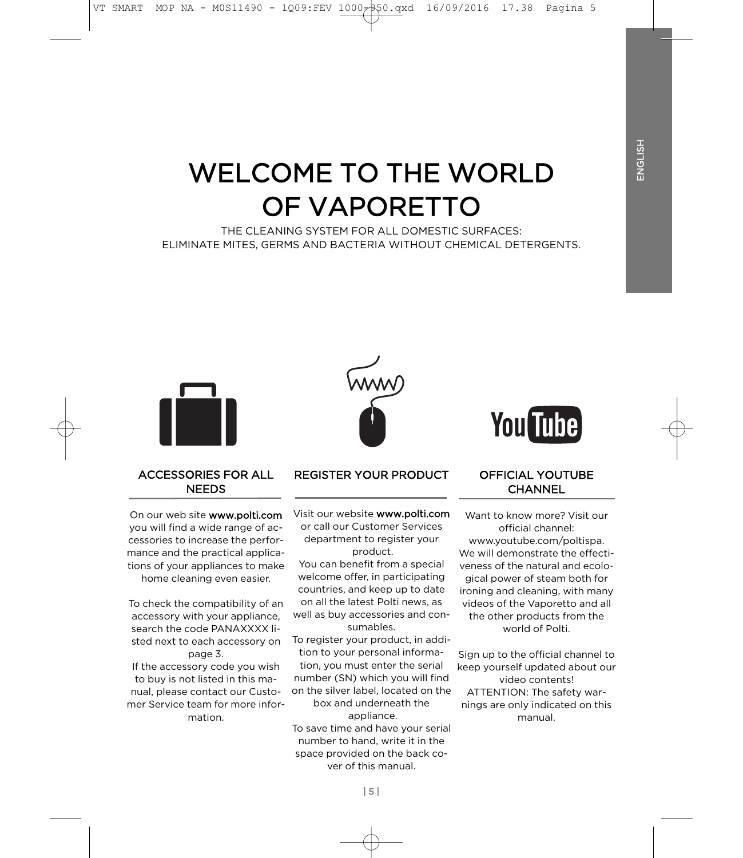# **WELCOME TO THE WORLD** OF VAPORETTO

THE CLEANING SYSTEM FOR ALL DOMESTIC SURFACES: ELIMINATE MITES, GERMS AND BACTERIA WITHOUT CHEMICAL DETERGENTS.



#### **ACCESSORIES FOR ALL NFFDS** NEEDS

On our web site **www.polti.com**<br>vou will find a wide range of accessories to increase the performance and the practical applications of your appliances to make home cleaning even easier.

home cleaning even easier.

To check the compatibility of an accessory with your appliance, search the code PANAXXXX listed next to each accessory on page 3.

If the accessory code you wish to buy is not listed in this manual, please contact our Customer Service team for more information.

#### **REGISTER YOUR PRODUCT** REGISTER YOUR PRODUCT

Visit our website www.polti.com or call our Customer Services department to register your product.

You can benefit from a special welcome offer, in participating countries, and keep up to date on all the latest Polti news, as well as buy accessories and consumables.

To register your product, in addition to your personal informa-

tion, you must enter the serial number (SN) which you will find on the silver label. located on the box and underneath the

appliance. To save time and have your serial number to hand, write it in the space provided on the back cover of this manual.

# **You Tube**

#### **OFFICIAL YOUTUBE** CHANNEL <u>CHANNEL</u>

Want to know more? Visit our official channel: www.youtube.com/poltispa. We will demonstrate the effectiyeness of the natural and ecological power of steam both for ironing and cleaning, with many videos of the Vaporetto and all the other products from the world of Polti.

Sign up to the official channel to keep yourself updated about our video contents! ATTENTION: The safety warhings are only indicated on this manual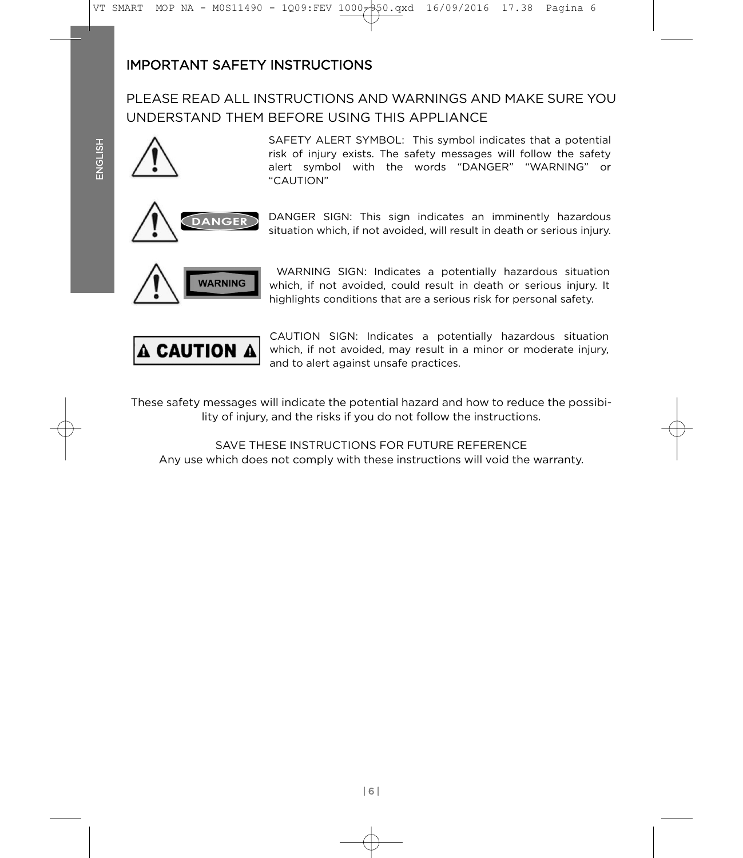# **IMPORTANT SAFETY INSTRUCTIONS**

PLEASE READ ALL INSTRUCTIONS AND WARNINGS AND MAKE SURE YOU UNDERSTAND THEM BEFORE USING THIS APPLIANCE



SAFETY ALERT SYMBOL: This symbol indicates that a potential risk of injury exists. The safety messages will follow the safety alert symbol with the words "DANGER" "WARNING" or "CAUTION"



DANGER SIGN: This sign indicates an imminently hazardous situation which, if not avoided, will result in death or serious injury. situation which, if not avoided, will result in death or serious injury.



WARNING SIGN: Indicates a potentially hazardous situation which, if not avoided, could result in death or serious injury. It highlights conditions that are a serious risk for personal safety. highlights conditions that are a serious risk for personal safety.



CAUTION SIGN: Indicates a potentially hazardous situation which, if not avoided, may result in a minor or moderate injury, and to alert against unsafe practices. and to alert against unsafe practices.

These safety messages will indicate the potential hazard and how to reduce the possibi-<br>lity of injury, and the risks if you do not follow the instructions. lity of injury, and the risks if you do not follow the instructions.

SAVE THESE INSTRUCTIONS FOR FUTURE REFERENCE Any use which does not comply with these instructions will void the warranty. Any use which does not comply with these instructions will void the warranty.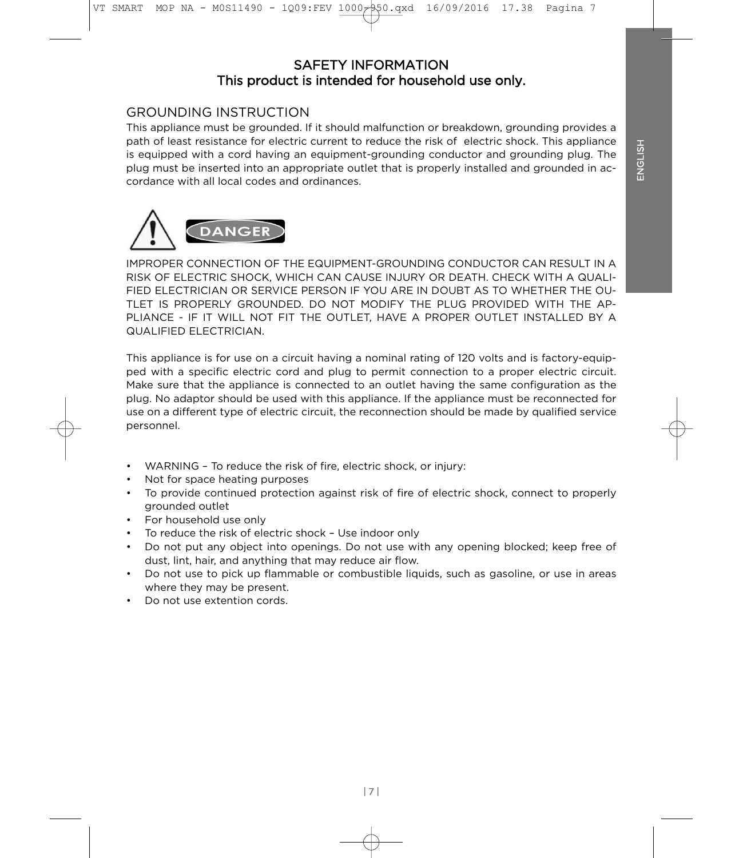#### **SAFETY INFORMATION** This product is intended for household use only. This product is intended for household use only.

# **GROUNDING INSTRUCTION**

This appliance must be grounded. If it should malfunction or breakdown, grounding provides a path of least resistance for electric current to reduce the risk of electric shock. This appliance is equipped with a cord having an equipment-grounding conductor and grounding plug. The plug must be inserted into an appropriate outlet that is properly installed and grounded in accordance with all local codes and ordinances.



IMPROPER CONNECTION OF THE EQUIPMENT-GROUNDING CONDUCTOR CAN RESULT IN A RISK OF ELECTRIC SHOCK. WHICH CAN CAUSE INJURY OR DEATH, CHECK WITH A QUALI-FIED ELECTRICIAN OR SERVICE PERSON IF YOU ARE IN DOUBT AS TO WHETHER THE OU-TLET IS PROPERLY GROUNDED. DO NOT MODIFY THE PLUG PROVIDED WITH THE AP-PLIANCE - IF IT WILL NOT FIT THE OUTLET, HAVE A PROPER OUTLET INSTALLED BY A QUALIFIED ELECTRICIAN.

This appliance is for use on a circuit having a nominal rating of 120 volts and is factory-equip-<br>ped with a specific electric cord and plug to permit connection to a proper electric circuit. Make sure that the appliance is connected to an outlet having the same configuration as the plug. No adaptor should be used with this appliance. If the appliance must be reconnected for use on a different type of electric circuit, the reconnection should be made by qualified service  $\mathsf{R}$  different type of electric circuit, the reconnection showled services showled services showled services services services services services services services services services services services services services personnel.

- WARNING To reduce the risk of fire, electric shock, or injury:<br>Not for space heating purposes  $\bullet$
- 
- To provide continued protection against risk of fire of electric shock, connect to properly grounded outlet
- For household use only
- To reduce the risk of electric shock Use indoor only
- Do not put any object into openings. Do not use with any opening blocked; keep free of dust, lint, hair, and any thing that may reduce air flow.
- Do not use to pick up flammable or combustible liquids, such as gasoline, or use in areas where they may be present.
- Do not use extention cords.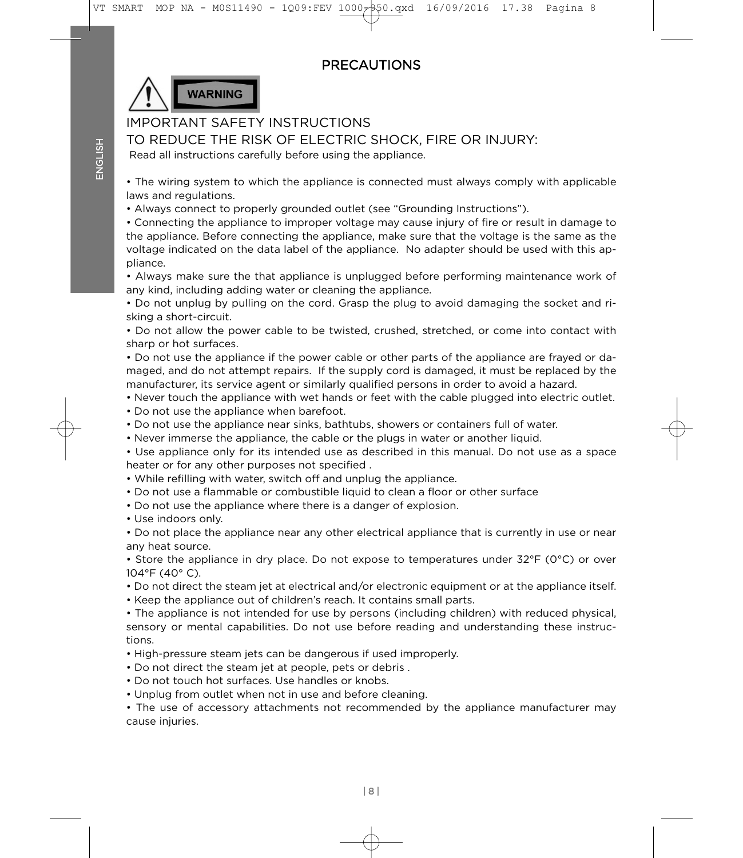# **PRECAUTIONS**



## **IMPORTANT SAFFTY INSTRUCTIONS**

TO REDUCE THE RISK OF ELECTRIC SHOCK. FIRE OR INJURY:

Read all instructions carefully before using the appliance. Read all instructions carefully before using the appliance.

• The wiring system to which the appliance is connected must always comply with applicable

• Always connect to properly grounded outlet (see "Grounding Instructions").

• Connecting the appliance to improper voltage may cause injury of fire or result in damage to the appliance. Before connecting the appliance, make sure that the voltage is the same as the voltage indicated on the data label of the appliance. No adapter should be used with this ap- $\nu$ iance. No adapter should be used on the application of the application be used with this application  $\mu$ 

• Always make sure the that appliance is unplugged before performing maintenance work of any kind, including adding water or cleaning the appliance.

• Do not unplug by pulling on the cord. Grasp the plug to avoid damaging the socket and risking a short-circuit.

• Do not allow the power cable to be twisted, crushed, stretched, or come into contact with sharp or hot surfaces.

• Do not use the appliance if the power cable or other parts of the appliance are frayed or damaged, and do not attempt repairs. If the supply cord is damaged, it must be replaced by the manufacturer, its service agent or similarly qualified persons in order to avoid a hazard.

- Never touch the appliance with wet hands or feet with the cable plugged into electric outlet.
- Do not use the appliance when barefoot.
- Do not use the appliance near sinks, bathtubs, showers or containers full of water.
- Never immerse the appliance, the cable or the plugs in water or another liquid.

• Use appliance only for its intended use as described in this manual. Do not use as a space heater or for any other purposes not specified.

- While refilling with water, switch off and unplug the appliance.
- Do not use a flammable or combustible liquid to clean a floor or other surface.
- Do not use the appliance where there is a danger of explosion.
- Use indoors only.

• Do not place the appliance near any other electrical appliance that is currently in use or near any heat source.

• Store the appliance in dry place. Do not expose to temperatures under  $32^{\circ}F$  (0°C) or over  $104^{\circ}$ F (40°C).

- Do not direct the steam jet at electrical and/or electronic equipment or at the appliance itself.
- Keep the appliance out of children's reach. It contains small parts.

• The appliance is not intended for use by persons (including children) with reduced physical,  $\epsilon$  appears  $\alpha$  mental canabilities. Do not use before reading and understanding these instructions  $s_{\rm obs}$ 

- High-pressure steam jets can be dangerous if used improperly.
- Do not direct the steam jet at people, pets or debris.
- Do not touch hot surfaces. Use handles or knobs.
- Unplug from outlet when not in use and before cleaning.

• The use of accessory attachments not recommended  $\epsilon$  accessory at the use of accessory attachment not recommended by the application manufacturer manufacturer manufacturer manufacturer manufacturer manufacturer manufacturer manufacturer manufacturer manufacturer manufa cause injuries.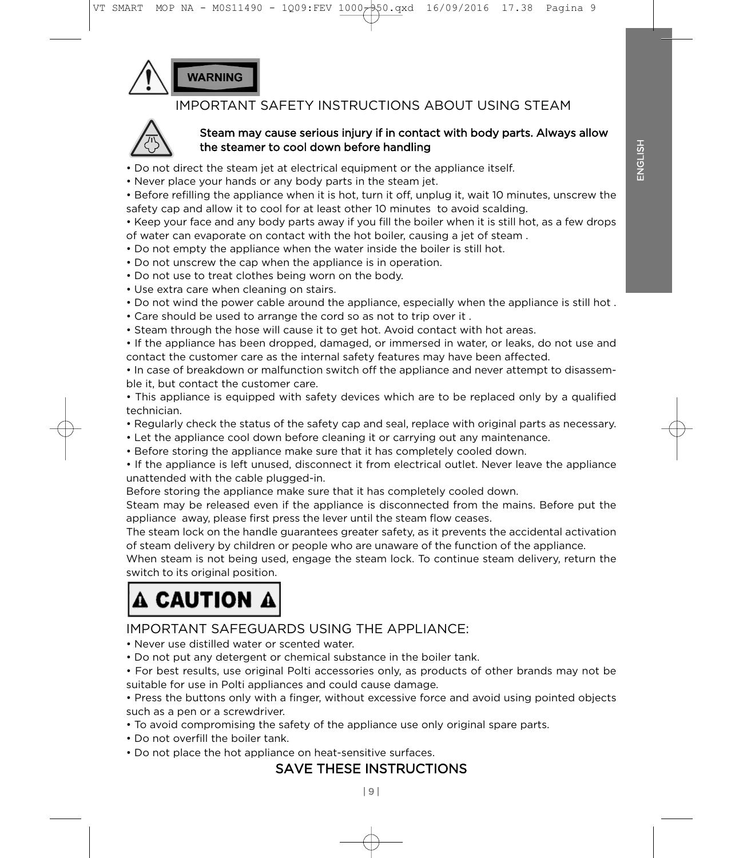**NARNING** 

# **IMPORTANT SAFETY INSTRUCTIONS ABOUT USING STEAM**



#### Steam may cause serious injury if in contact with body parts. Always allow the steamer to cool down before handling

- Do not direct the steam jet at electrical equipment or the appliance itself.
- Never place your hands or any body parts in the steam jet.

• Before refilling the appliance when it is hot, turn it off, unplug it, wait 10 minutes, unscrew the safety cap and allow it to cool for at least other 10 minutes, to avoid scalding.

• Keep your face and any body parts away if you fill the boiler when it is still hot, as a few drops of water can evaporate on contact with the hot boiler, causing a jet of steam.

- Do not empty the appliance when the water inside the boiler is still hot.
- Do not unscrew the cap when the appliance is in operation.
- Do not use to treat clothes being worn on the body.
- Use extra care when cleaning on stairs.
- Do not wind the power cable around the appliance, especially when the appliance is still hot.
- Care should be used to arrange the cord so as not to trip over it.
- Steam through the hose will cause it to get hot. Avoid contact with hot areas.

• If the appliance has been dropped, damaged, or immersed in water, or leaks, do not use and contact the customer care as the internal safety features may have been affected.

• In case of breakdown or malfunction switch off the appliance and never attempt to disassemble it, but contact the customer care.

• This appliance is equipped with safety devices which are to be replaced only by a qualified  $\mathbf{r}$  this applicance is equipped with safety devices which are to be replaced on  $\mathbf{r}$  and  $\mathbf{r}$ 

- Regularly check the status of the safety cap and seal, replace with original parts as necessary.
- Let the appliance cool down before cleaning it or carrying out any maintenance.
- Before storing the appliance make sure that it has completely cooled down.
- If the appliance is left unused, disconnect it from electrical outlet. Never leave the appliance unattended with the cable plugged-in.

Before storing the appliance make sure that it has completely cooled down.

Steam may be released even if the appliance is disconnected from the mains. Before put the appliance away, please first press the lever until the steam flow ceases.

The steam lock on the handle guarantees greater safety, as it prevents the accidental activation of steam delivery by children or people who are unaware of the function of the appliance.

When steam is not being used, engage the steam lock. To continue steam delivery, return the switch to its original position.

# switch to its original position. A CAUTION A

## IMPORTANT SAFFGUARDS USING THE APPI IANCE:

- Never use distilled water or scented water.
- Do not put any detergent or chemical substance in the boiler tank.

• For best results, use original Polti accessories only, as products of other brands may not be suitable for use in Polti appliances and could cause damage.

• Press the buttons only with a finger, without excessive force and avoid using pointed objects such as a pen or a screwdriver.

- To avoid compromising the safety of the appliance use only original spare parts.
- Do not overfill the boiler tank.
- Do not place the hot appliance on heat-sensitive surfaces.

#### **SAVE THESE INSTRUCTIONS** SAVE THESE INSTRUCTIONS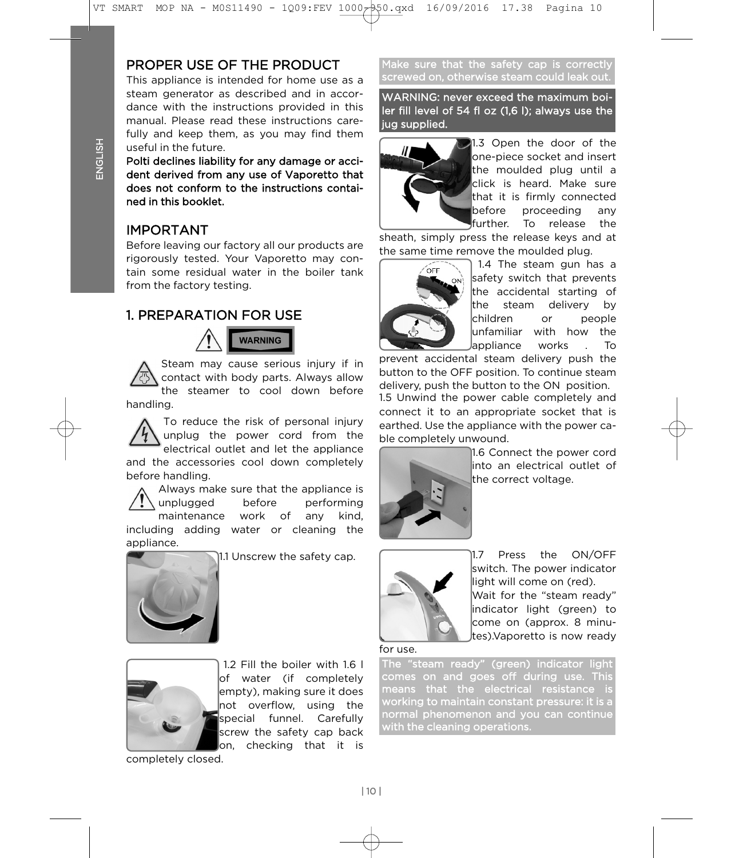# PROPER USE OF THE PRODUCT

This appliance is intended for home use as a steam generator as described and in accordance with the instructions provided in this manual. Please read these instructions carefully and keep them, as you may find them useful in the future.

Polti declines liability for any damage or accident derived from any use of Vaporetto that does not conform to the instructions contained in this booklet.

## **IMPORTANT**

Before leaving our factory all our products are rigorously tested. Your Vaporetto may contain some residual water in the boiler tank from the factory testing. from the factory testing.

#### **1. PREPARATION FOR USE**  $\sim$  PREPARATION FOR USE

**WARNING** 

Steam may cause serious injury if in<br>contact with body parts. Always allow the steamer to cool down before  $\theta$ 

handling. To reduce the risk of personal injury<br>unplug the power cord from the electrical outlet and let the appliance and the accessories cool down completely before handling.

Always make sure that the appliance is unplugged before performing maintenance work of any kind, including adding water or cleaning the appliance.



1.1 Unscrew the safety cap.



1.2 Fill the boiler with 1.6 I of water (if completely  $|$ empty), making sure it does not overflow, using the special funnel. Carefully screw the safety cap back  $\,$  on, checking that it is

 $\overline{a}$ completely closed.

Make sure that the safety cap is correctly screwed on, otherwise steam could leak out.

WARNING: never exceed the maximum boiler fill level of 54 fl oz (1,6 l); always use the jug supplied.



21.3 Open the door of the one-piece socket and insert the moulded plug until a lclick is heard. Make sure that it is firmly connected before proceeding any further. To release the

sheath, simply press the release keys and at the same time remove the moulded plug.



 $tanh$  1.4 The steam gun has a safety switch that prevents the accidental starting of the steam delivery by kchildren or people unfamiliar with how the lappliance works . To

prevent accidental steam delivery push the button to the OFF position. To continue steam delivery, push the button to the ON position.

1.5 Unwind the power cable completely and connect it to an appropriate socket that is<br>earthed. Use the appliance with the power cable completely unwound.



1.6 Connect the power cord into an electrical outlet of the correct voltage. the correct voltage.



 $1.7$ Press the ON/OFF switch. The power indicator llight will come on (red). Wait for the "steam ready"

indicator light (green) to come on (approx. 8 minutes). Vaporetto is now ready. tes).Vaporetto is now ready

for use

The "steam ready" (green) indicator light comes on and goes off during use. This means that the electrical resistance is working to maintain constant pressure: it is a normal phenomenon and you can continue with the cleaning operations.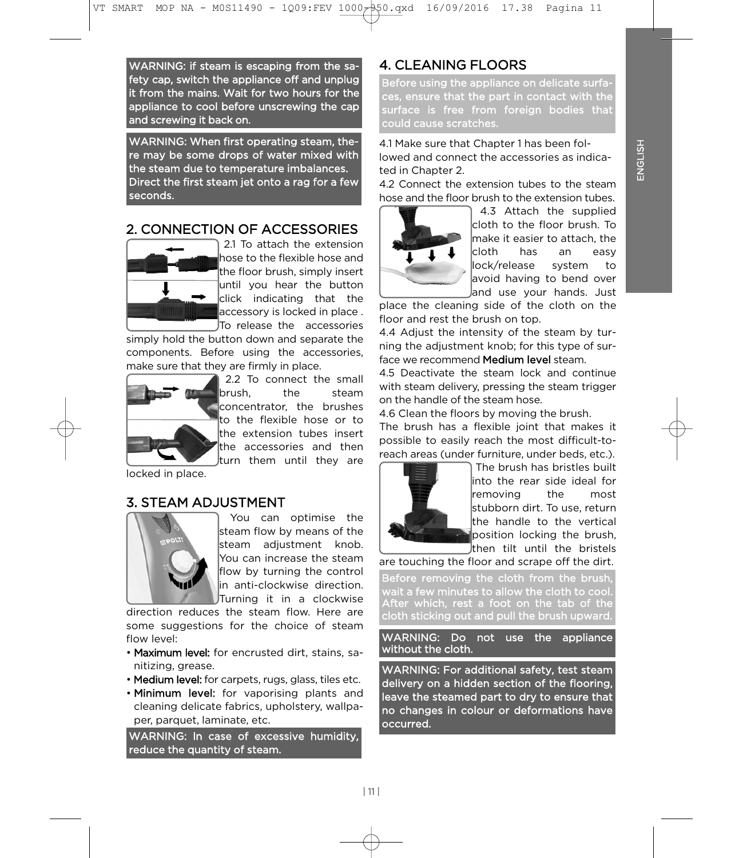WARNING: if steam is escaping from the safety cap, switch the appliance off and unplug it from the mains. Wait for two hours for the appliance to cool before unscrewing the cap and screwing it back on. and screwing it back on.

WARNING: When first operating steam, the-<br>re may be some drops of water mixed with the steam due to temperature imbalances. Direct the first steam jet onto a rag for a few seconds. seconds.

# 2. CONNECTION OF ACCESSORIES



2.1 To attach the extension hose to the flexible hose and the floor brush, simply insert until you hear the button click indicating that the accessory is locked in place. ITo release the accessories

simply hold the button down and separate the components. Before using the accessories, make sure that they are firmly in place.



2.2 To connect the small brush. the steam concentrator. the brushes to the flexible hose or to the extension tubes insert the accessories and then turn them until thev are turn them until they are

locked in place. locked in place.

## **3. STEAM ADJUSTMENT**



You can optimise the steam flow by means of the steam adjustment knob. You can increase the steam flow by turning the control lin anti-clockwise direction. JTurning it in a clockwise

direction reduces the steam flow. Here are some suggestions for the choice of steam flow level:

- . Maximum level: for encrusted dirt. stains. sanitizing, grease.
- Medium level: for carpets, rugs, glass, tiles etc.
- Minimum level: for vaporising plants and cleaning delicate fabrics, upholstery, wallpaper, parquet, laminate, etc.

WARNING: In case of excessive humidity, reduce the quantity of steam. reduce the quantity of steam.

# **4. CLEANING FLOORS**

Before using the appliance on delicate surfaces, ensure that the part in contact with the surface is free from foreign bodies that could cause scratches. could cause scratches.

lowed and connect the accessories as indicated in Chapter 2.

4.2 Connect the extension tubes to the steam hose and the floor brush to the extension tubes.



4.3 Attach the supplied cloth to the floor brush. To make it easier to attach, the lcloth has an easy llock/release system to lavoid having to bend over and use your hands. Just

place the cleaning side of the cloth on the floor and rest the brush on top.

4.4 Adiust the intensity of the steam by turning the adjustment knob; for this type of surface we recommend Medium level steam.

4.5 Deactivate the steam lock and continue with steam delivery, pressing the steam trigger on the handle of the steam hose.

4.6 Clean the floors by moving the brush.

The brush has a flexible joint that makes it possible to easily reach the most difficult-toreach areas (under furniture, under beds, etc.).



The brush has bristles built  $\frac{1}{10}$  into the rear side ideal for removing the most stubborn dirt. To use, return the handle to the vertical position locking the brush, then tilt until the bristels

are touching the floor and scrape off the dirt.

Before removing the cloth from the brush wait a few minutes to allow the cloth to cool. After which, rest a foot on the tab of the cloth sticking out and pull the brush upward.

WARNING: Do not use the appliance without the cloth.

WARNING: For additional safety, test steam<br>delivery on a hidden section of the flooring, leave the steamed part to dry to ensure that no changes in colour or deformations have occurred. occurred.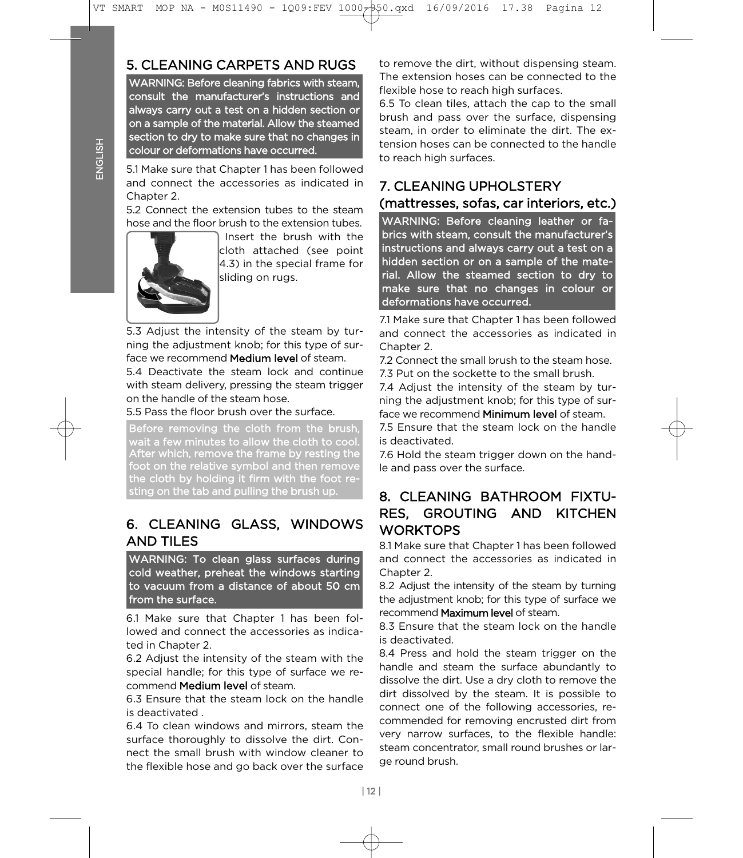# 5. CLEANING CARPETS AND RUGS

WARNING: Before cleaning fabrics with steam, consult the manufacturer's instructions and always carry out a test on a hidden section or on a sample of the material. Allow the steamed section to dry to make sure that no changes in colour or deformations have occurred.

and connect the accessories as indicated in Chanter 2. 5.1 Make sure that Chapter 1 has been followed

5.2 Connect the extension tubes to the steam hose and the floor brush to the extension tubes



Insert the brush with the cloth attached (see point  $\vert 4.3$ ) in the special frame for sliding on rugs. sliding on rugs.

5.3 Adjust the intensity of the steam by turning the adjustment knob: for this type of surface we recommend **Medium level** of steam.

5.4 Deactivate the steam lock and continue with steam delivery, pressing the steam trigger on the handle of the steam hose.

5.5 Pass the floor brush over the surface.

Before removing the cloth from the brush Before removing the cloth  $\frac{1}{2}$  and the coding the coding to coding the coding to coding the brush of  $\frac{1}{2}$ After which, remove the frame by resting the foot on the relative symbol and then remove the cloth by holding it firm with the foot resting on the tab and pulling the brush up.

# 6. CLEANING GLASS, WINDOWS **AND TILES**

WARNING: To clean glass surfaces during cold weather, preheat the windows starting to vacuum from a distance of about 50 cm from the surface.

lowed and connect the accessories as indicated in Chapter 2. 6.1 Make sure that Chapter 1 has been fol-

6.2 Adjust the intensity of the steam with the special handle; for this type of surface we recommend **Medium level** of steam.

6.3 Ensure that the steam lock on the handle is deactivated.

6.4 To clean windows and mirrors, steam the surface thoroughly to dissolve the dirt. Connect the small brush with window cleaner to the flexible hose and go back over the surface the flexible hose and go back over the surface

to remove the dirt, without dispensing steam.<br>The extension hoses can be connected to the flexible hose to reach high surfaces.

6.5 To clean tiles, attach the cap to the small brush and pass over the surface, dispensing steam, in order to eliminate the dirt. The extension hoses can be connected to the handle to reach high surfaces. to reach high surfaces.

# 7. CLEANING UPHOLSTERY (mattresses, sofas, car interiors, etc.)

WARNING: Before cleaning leather or fabrics with steam, consult the manufacturer's instructions and always carry out a test on a hidden section or on a sample of the material. Allow the steamed section to dry to make sure that no changes in colour or deformations have occurred.

and connect the accessories as indicated in Chapter 2. 7.1 Make sure that Chapter 1 has been followed

7.2 Connect the small brush to the steam hose.

7.3 Put on the sockette to the small brush.

7.4 Adjust the intensity of the steam by turning the adjustment knob; for this type of surface we recommend **Minimum level** of steam.

7.5 Ensure that the steam lock on the handle is deactivated.

7.6 Hold the steam trigger down on the handle and pass over the surface. le and pass over the surface.

## 8. CLEANING BATHROOM FIXTU-RES. GROUTING AND KITCHEN **WORKTOPS**

8.1 Make sure that Chapter 1 has been followed and connect the accessories as indicated in Chanter 2.

8.2 Adjust the intensity of the steam by turning the adjustment knob; for this type of surface we recommend Maximum level of steam.

8.3 Ensure that the steam lock on the handle is deactivated.

8.4 Press and hold the steam trigger on the handle and steam the surface abundantly to dissolve the dirt. Use a dry cloth to remove the dirt dissolved by the steam. It is possible to connect one of the following accessories, recommended for removing encrusted dirt from very narrow surfaces, to the flexible handle: steam concentrator, small round brushes or large round brush. ge round brush.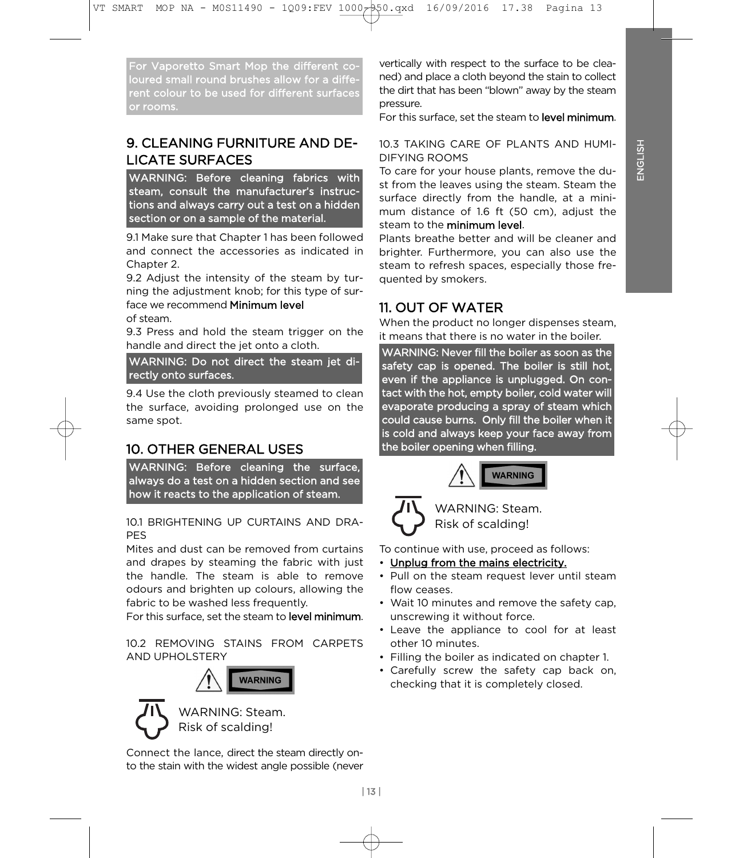For Vaporetto Smart Mop the different corent colour to be used for different surfaces or rooms. or rooms.

# 9. CLEANING FURNITURE AND DE-**LICATE SURFACES**

WARNING: Before cleaning fabrics with steam, consult the manufacturer's instructions and always carry out a test on a hidden section or on a sample of the material.

and connect the accessories as indicated in Chapter 2. 9.1 Make sure that Chapter 1 has been followed

9.2 Adjust the intensity of the steam by turning the adjustment knob; for this type of surface we recommend Minimum level of steam

9.3 Press and hold the steam trigger on the handle and direct the jet onto a cloth.

WARNING: Do not direct the steam jet directly onto surfaces.

the surface, avoiding prolonged use on the same spot. same spot. 9.4 Use the cloth previously steamed to clean

# **10. OTHER GENERAL USES**

WARNING: Before cleaning the surface. always do a test on a hidden section and see  $\overline{\phantom{a}}$  how it reacts to the annlication of steam how it reacts to the application of steam.

10.1 BRIGHTENING UP CURTAINS AND DRA- $10.1$  BRIGHTENING UP CURTAINS AND DRAMAN  $10.1$  BRIGHTENING UP CURTAINS AND DRAMAN  $10.1$  BRIGHTENING UP CURTAINS AND DRAMAN  $10.1$  BRIGHTENING UP CURTAINS AND DRAMAN  $10.1$  BRIGHTENING UP CURTAINS AND DRAMAN  $10.1$  BRIG

Mites and dust can be removed from curtains and drapes by steaming the fabric with just the handle. The steam is able to remove odours and brighten up colours, allowing the fabric to be washed less frequently.

For this surface, set the steam to level minimum. For this surface, set the steam to level minimum.

10.2 REMOVING STAINS FROM CARPETS **AND UPHOL STERY** AND UPHOLSTERY





**WARNING: Steam.** Risk of scalding! Risk of scalding!

Connect the lance, direct the steam directly onto the stain with the widest angle possible (never  $\mathbf{t}$  the statistical with the widest angle possible (nevertheless).

vertically with respect to the surface to be clea-<br>ned) and place a cloth beyond the stain to collect the dirt that has been "blown" away by the steam pressure.

For this surface, set the steam to **level minimum**.

#### 10.3 TAKING CARE OF PLANTS AND HUMI-**DIFYING ROOMS**

To care for your house plants, remove the dust from the leaves using the steam. Steam the surface directly from the handle, at a minimum distance of 1.6 ft  $(50 \text{ cm})$ , adjust the steam to the minimum level.

Plants breathe better and will be cleaner and brighter. Furthermore, you can also use the steam to refresh spaces, especially those frequented by smokers. quented by smokers.

# 11. OUT OF WATER

When the product no longer dispenses steam, it means that there is no water in the boiler.

WARNING: Never fill the boiler as soon as the safety cap is opened. The boiler is still hot, even if the appliance is unplugged. On contact with the hot, empty boiler, cold water will evaporate producing a spray of steam which could cause burns. Only fill the boiler when it is cold and always keep your face away from  $\frac{1}{2}$  is cold and always  $\frac{1}{2}$  is colored and  $\frac{1}{2}$  is colored and  $\frac{1}{2}$  is colored and  $\frac{1}{2}$  is contained and  $\frac{1}{2}$  is contained and  $\frac{1}{2}$  is contained and  $\frac{1}{2}$  is contained and  $\frac{1}{2}$ the boiler opening when filling.





WARNING: Steam. Risk of scalding! Risk of scalding!

To continue with use, proceed as follows:<br>• Unplug from the mains electricity.

- 
- Pull on the steam request lever  $\mu$  $f_{\text{DW}}$  cosese
- Wait 10 minutes and remove the safety cap. unscrewing it without force.
- Leave the appliance to cool for at least other 10 minutes.
- Filling the boiler as indicated on chapter 1.
- Carefully screw the safety cap back on, checking that it is completely closed. checking that it is completely closed.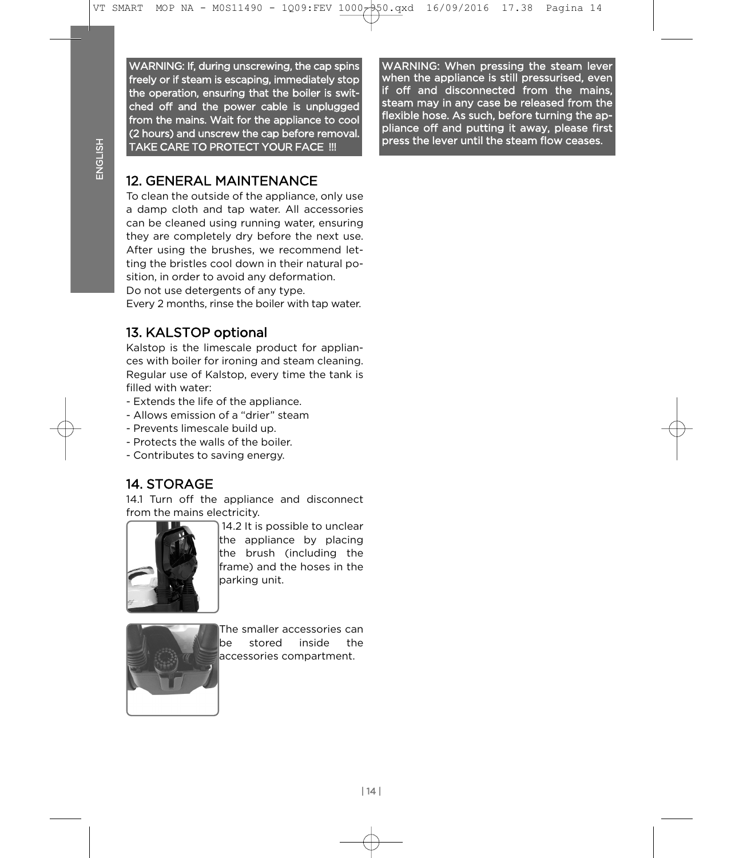WARNING: If, during unscrewing, the cap spins freely or if steam is escaping, immediately stop the operation, ensuring that the boiler is switched off and the power cable is unplugged from the mains. Wait for the appliance to cool (2 hours) and unscrew the cap before removal. TAKE CARE TO PROTECT YOUR FACE !!! TAKE CARE TO PROTECT YOUR FACE !!!

WARNING: When pressing the steam lever when the appliance is still pressurised, even if off and disconnected from the mains, steam may in any case be released from the flexible hose. As such, before turning the appliance off and putting it away, please first press the lever until the steam flow ceases.

# **12. GENERAL MAINTENANCE**

To clean the outside of the appliance, only use a damp cloth and tap water. All accessories can be cleaned using running water, ensuring they are completely dry before the next use. After using the brushes, we recommend letting the bristles cool down in their natural position, in order to avoid any deformation. Do not use detergents of any type.

Every 2 months, rinse the boiler with tap water. Every 2 months, rinse the boiler with tap water.

## 13. KALSTOP optional

Kalstop is the limescale product for appliances with boiler for ironing and steam cleaning. Regular use of Kalstop, every time the tank is filled with water:

- Extends the life of the appliance.
- Allows emission of a "drier" steam
- Prevents limescale build up.
- Protects the walls of the boiler.
- Contributes to saving energy. - Contributes to saving energy.

## **14. STORAGE**

14.1 Turn off the appliance and disconnect from the mains electricity.



14.2 It is possible to unclear the appliance by placing the brush (including the frame) and the hoses in the parking unit. parking unit.



The smaller accessories can be stored inside the laccessories compartment. accessories compartment.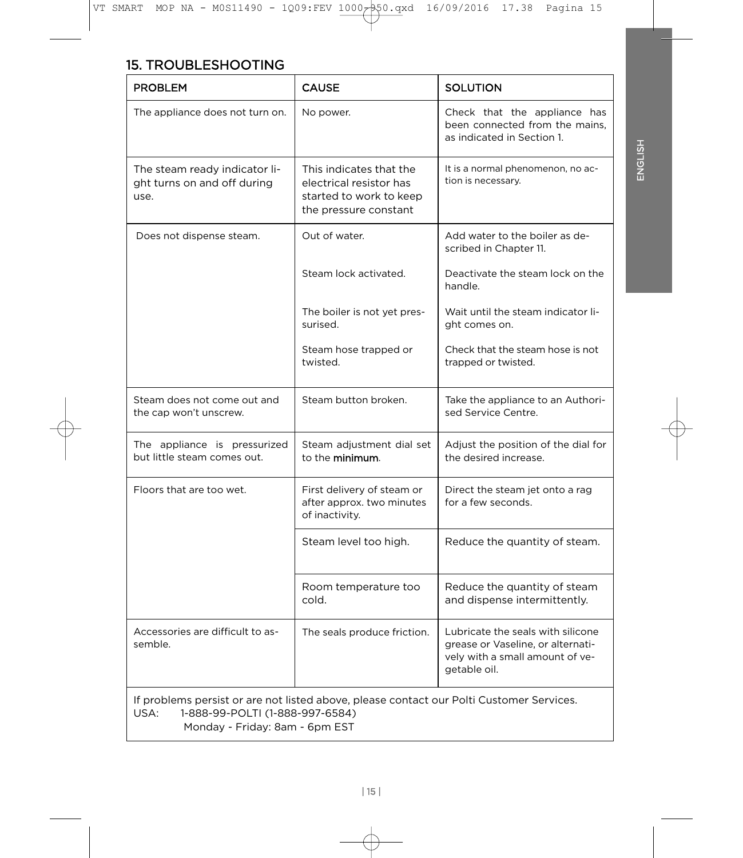| <b>PROBLEM</b>                                                                                                                      | <b>CAUSE</b>                                                                                           | <b>SOLUTION</b>                                                                                                           |  |
|-------------------------------------------------------------------------------------------------------------------------------------|--------------------------------------------------------------------------------------------------------|---------------------------------------------------------------------------------------------------------------------------|--|
| The appliance does not turn on.                                                                                                     | No power.                                                                                              | Check that the appliance has<br>been connected from the mains,<br>as indicated in Section 1.                              |  |
| The steam ready indicator li-<br>ght turns on and off during<br>use.                                                                | This indicates that the<br>electrical resistor has<br>started to work to keep<br>the pressure constant | It is a normal phenomenon, no ac-<br>tion is necessary.                                                                   |  |
| Does not dispense steam.                                                                                                            | Out of water.                                                                                          | Add water to the boiler as de-<br>scribed in Chapter 11.                                                                  |  |
|                                                                                                                                     | Steam lock activated.                                                                                  | Deactivate the steam lock on the<br>handle.                                                                               |  |
|                                                                                                                                     | The boiler is not yet pres-<br>surised.                                                                | Wait until the steam indicator li-<br>ght comes on.                                                                       |  |
|                                                                                                                                     | Steam hose trapped or<br>twisted.                                                                      | Check that the steam hose is not<br>trapped or twisted.                                                                   |  |
| Steam does not come out and<br>the cap won't unscrew.                                                                               | Steam button broken.                                                                                   | Take the appliance to an Authori-<br>sed Service Centre.                                                                  |  |
| The appliance is pressurized<br>but little steam comes out.                                                                         | Steam adjustment dial set<br>to the <b>minimum</b> .                                                   | Adjust the position of the dial for<br>the desired increase.                                                              |  |
| Floors that are too wet.                                                                                                            | First delivery of steam or<br>after approx. two minutes<br>of inactivity.                              | Direct the steam jet onto a rag<br>for a few seconds.                                                                     |  |
|                                                                                                                                     | Steam level too high.                                                                                  | Reduce the quantity of steam.                                                                                             |  |
|                                                                                                                                     | Room temperature too<br>cold.                                                                          | Reduce the quantity of steam<br>and dispense intermittently.                                                              |  |
| Accessories are difficult to as-<br>semble.                                                                                         | The seals produce friction.                                                                            | Lubricate the seals with silicone<br>grease or Vaseline, or alternati-<br>vely with a small amount of ve-<br>getable oil. |  |
| If problems persist or are not listed above, please contact our Polti Customer Services.<br>USA:<br>1-888-99-POLTI (1-888-997-6584) |                                                                                                        |                                                                                                                           |  |

USA: 1-888-99<br>Monday - Friday: 9am - 6am EST Monday - Friday: 8am - 6pm EST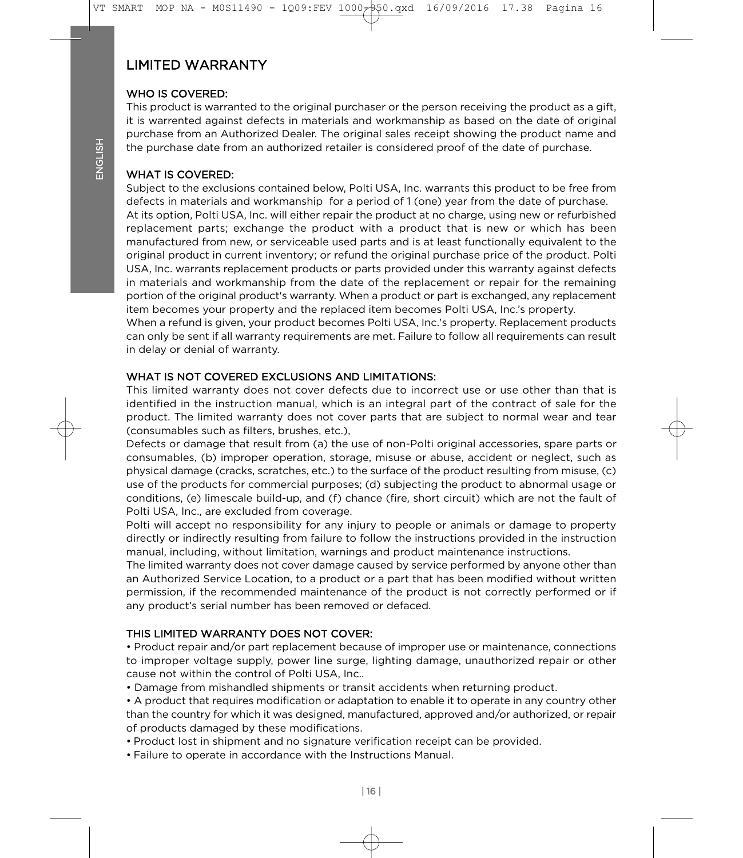# **LIMITED WARRANTY**

#### WHO IS COVERED:

This product is warranted to the original purchaser or the person receiving the product as a gift, it is warrented against defects in materials and workmanship as based on the date of original purchase from an Authorized Dealer. The original sales receipt showing the product name and the purchase date from an authorized retailer is considered proof of the date of purchase. the purchase date from an authorized retailer is considered proof of the date of purchase.

### **WHAT IS COVERED:**

Subject to the exclusions contained below, Polti USA, Inc. warrants this product to be free from defects in materials and workmanship for a period of 1 (one) year from the date of purchase. At its option, Polti USA, Inc. will either repair the product at no charge, using new or refurbished replacement parts; exchange the product with a product that is new or which has been manufactured from new, or serviceable used parts and is at least functionally equivalent to the original product in current inventory; or refund the original purchase price of the product. Polti USA, Inc. warrants replacement products or parts provided under this warranty against defects in materials and workmanship from the date of the replacement or repair for the remaining portion of the original product's warranty. When a product or part is exchanged, any replacement<br>item becomes your property and the replaced item becomes Polti USA, Inc.'s property

When a refund is given, your product becomes Polti USA, Inc.'s property. Replacement products can only be sent if all warranty requirements are met. Failure to follow all requirements can result in delay or denial of warranty. in delay or denial of warranty.

#### WHAT IS NOT COVERED EXCLUSIONS AND LIMITATIONS:

This limited warranty does not cover defects due to incorrect use or use other than that is identified in the instruction manual, which is an integral part of the contract of sale for the product. The limited warranty does not cover parts that are subject to normal wear and tear (consumables such as filters, brushes, etc.),

Defects or damage that result from (a) the use of non-Polti original accessories, spare parts or consumables, (b) improper operation, storage, misuse or abuse, accident or neglect, such as physical damage (cracks, scratches, etc.) to the surface of the product resulting from misuse, (c) use of the products for commercial purposes; (d) subjecting the product to abnormal usage or conditions, (e) limescale build-up, and (f) chance (fire, short circuit) which are not the fault of Polti USA, Inc., are excluded from coverage.

Polti will accept no responsibility for any injury to people or animals or damage to property directly or indirectly resulting from failure to follow the instructions provided in the instruction manual, including, without limitation, warnings and product maintenance instructions.

The limited warranty does not cover damage caused by service performed by anyone other than an Authorized Service Location, to a product or a part that has been modified without written permission, if the recommended maintenance of the product is not correctly performed or if any product's serial number has been removed or defaced. any product's serial number has been removed or defaced.

### THIS LIMITED WARRANTY DOES NOT COVER:

• Product repair and/or part replacement because of improper use or maintenance, connections to improper voltage supply, power line surge, lighting damage, unauthorized repair or other cause not within the control of Polti USA, Inc...

- Damage from mishandled shipments or transit accidents when returning product.
- A product that requires modification or adaptation to enable it to operate in any country other than the country for which it was designed, manufactured, approved and/or authorized, or repair of products damaged by these modifications.
- Product lost in shipment and no signature verification receipt can be provided.
- $\bullet$  Failure to operate in accordance with the Instructions Manual • Failure to operate in accordance with the Instructions Manual.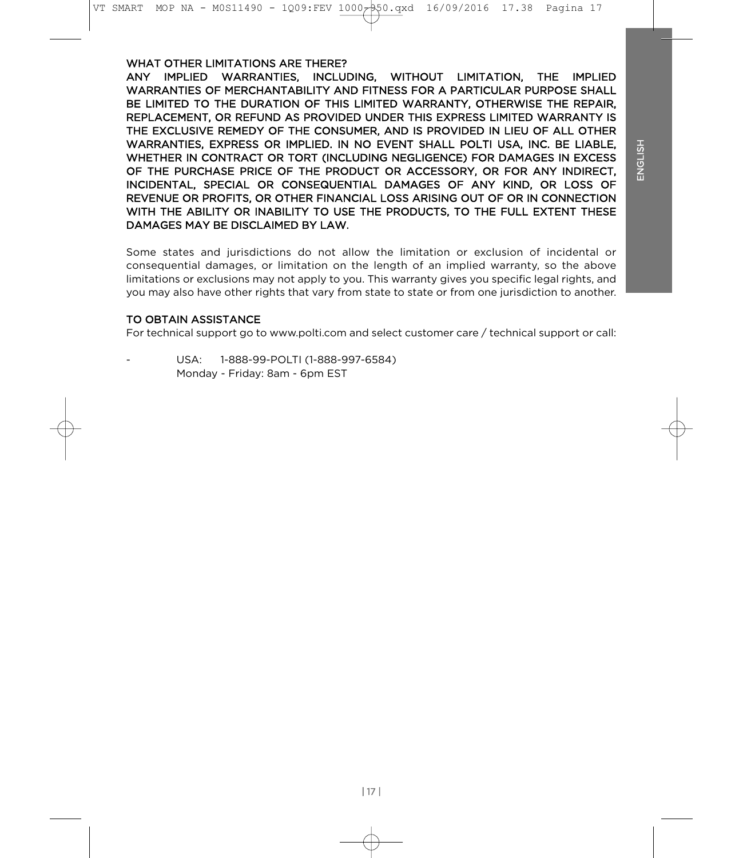WHAT OTHER LIMITATIONS ARE THERE?<br>ANY IMPLIED WARRANTIES, INCLUDING, WITHOUT LIMITATION, THE IMPLIED WARRANTIES OF MERCHANTABILITY AND FITNESS FOR A PARTICULAR PURPOSE SHALL BE LIMITED TO THE DURATION OF THIS LIMITED WARRANTY. OTHERWISE THE REPAIR. REPLACEMENT, OR REFUND AS PROVIDED UNDER THIS EXPRESS LIMITED WARRANTY IS THE EXCLUSIVE REMEDY OF THE CONSUMER, AND IS PROVIDED IN LIEU OF ALL OTHER WARRANTIES, EXPRESS OR IMPLIED. IN NO EVENT SHALL POLTI USA, INC. BE LIABLE, WHETHER IN CONTRACT OR TORT (INCLUDING NEGLIGENCE) FOR DAMAGES IN EXCESS OF THE PURCHASE PRICE OF THE PRODUCT OR ACCESSORY, OR FOR ANY INDIRECT, INCIDENTAL, SPECIAL OR CONSEQUENTIAL DAMAGES OF ANY KIND, OR LOSS OF REVENUE OR PROFITS, OR OTHER FINANCIAL LOSS ARISING OUT OF OR IN CONNECTION WITH THE ABILITY OR INABILITY TO USE THE PRODUCTS, TO THE FULL EXTENT THESE DAMAGES MAY BE DISCLAIMED BY LAW.

Some states and jurisdictions do not allow the limitation or exclusion of incidental or consequential damages, or limitation on the length of an implied warranty, so the above limitations or exclusions may not apply to you. This warranty gives you specific legal rights, and you may also have other rights that vary from state to state or from one jurisdiction to another.  $\mathcal{S}$  also have other rights that vary from state to state or from state or from one jurisdiction to another.

#### TO OBTAIN ASSISTANCE

For technical support go to www.polti.com and select customer care / technical support or call: For technical support go to www.polti.com and select customer care / technical support or call:

**IJSA** 1-888-99-POLTI (1-888-997-6584) Monday - Friday: 8am - 6pm EST Monday - Friday: 8am - 6pm EST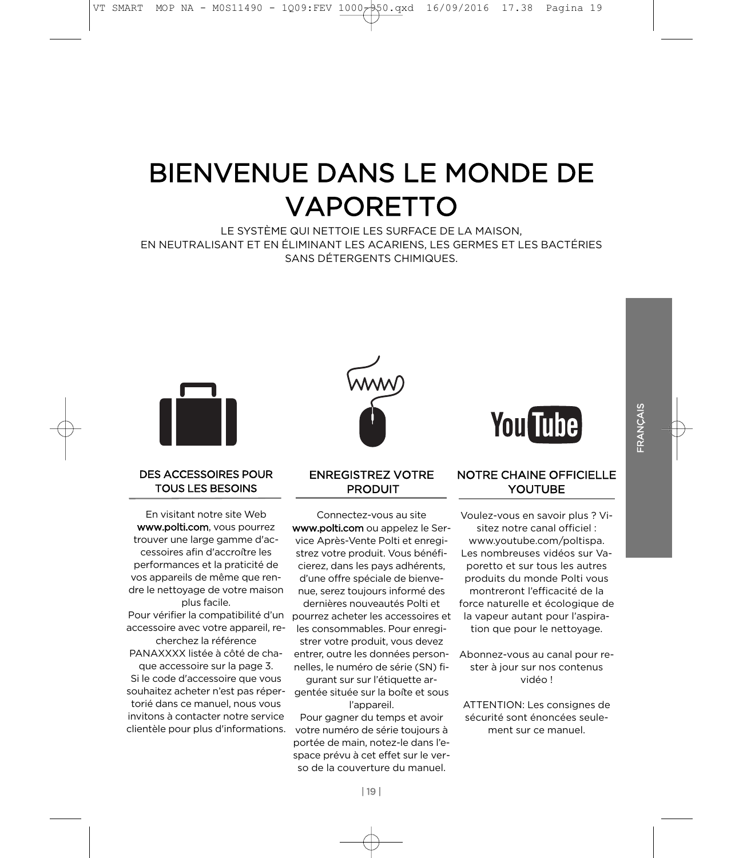# **BIENVENUE DANS LE MONDE DE** VAPORETTO

LE SYSTÈME QUI NETTOIE LES SURFACE DE LA MAISON, EN NEUTRALISANT ET EN ÉLIMINANT LES ACARIENS. LES GERMES ET LES BACTÉRIES SANS DÉTERGENTS CHIMIQUES.



#### **DES ACCESSOIRES POUR TOUS LES BESOINS** TOUS LES BESON

En visitant notre site Web www.polti.com, vous pourrez trouver une large gamme d'ac-<br>cossoires afin d'accroître les cessoires afin d'accroître les<br>performances et la praticité de vos appareils de même que rendre le nettoyage de votre maison plus facile. Pour vérifier la compatibilité d'un accessoire avec votre appareil, re-

cherchez la référence PANAXXXX listée à côté de cha-

que accessoire sur la page 3. si le code d'accessoire que vous souhaitez acheter n'est pas réperinvitons à contacter notre service invitons à contacter notre service clientèle pour plus d'informations.

#### **ENREGISTREZ VOTRE** PRODUIT PRODUIT

Connectez-vous au site<br> **www.polti.com** ou appelez le Service Après-Vente Polti et enregistrez votre produit. Vous bénéficierez, dans les pays adhérents. d'une offre spéciale de bienvenue, serez toujours informé des dernières nouveautés Polti et

pourrez acheter les accessoires et les consommables. Pour enregistrer votre produit, vous devez entrer, outre les données personnelles, le numéro de série (SN) fi-

gurant sur sur l'étiquette argentée située sur la boîte et sous l'appareil. Pour gagner du temps et avoir votre numéro de série toujours à

portée de main, notez-le dans l'espace prévu à cet effet sur le verso de la couverture du manuel.



YOUTURE

# **NOTRE CHAINE OFFICIELLE**

<u>YOUTUBE EXPLORE</u> Voulez-vous en savoir plus ? Visitez notre canal officiel : www.youtube.com/poltispa. Les nombreuses vidéos sur Vaporetto et sur tous les autres produits du monde Polti vous montreront l'efficacité de la force naturelle et écologique de la vapeur autant pour l'aspiration que pour le nettoyage.

Abonnez-vous au canal pour revidéo !

tion que pour le nettoyage.

ATTENTION: Les consignes de<br>sécurité sont énoncées seulement sur ce manuel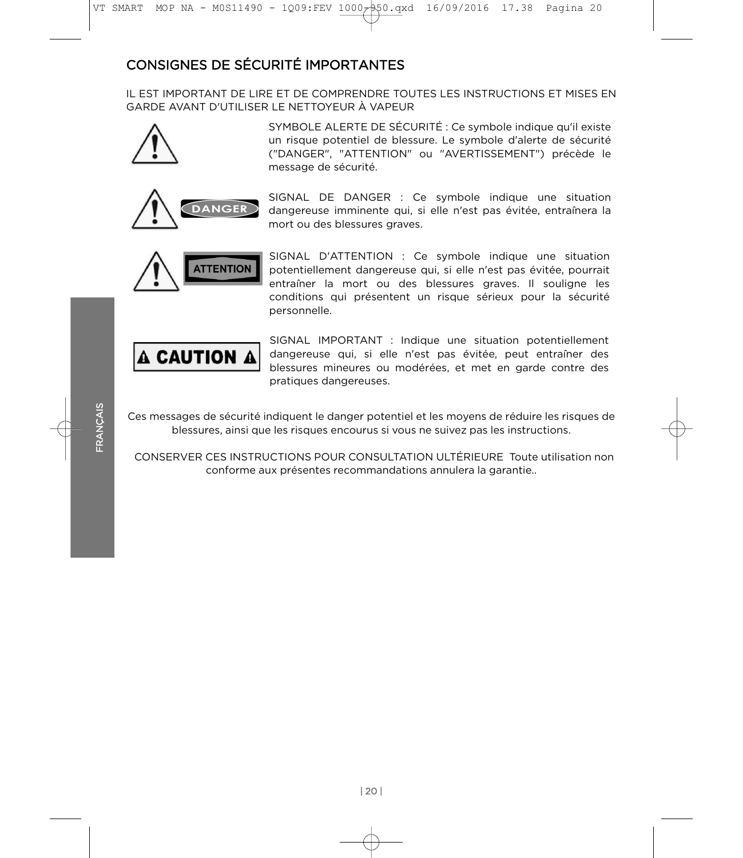# **CONSIGNES DE SÉCURITÉ IMPORTANTES**

IL EST IMPORTANT DE LIRE ET DE COMPRENDRE TOUTES LES INSTRUCTIONS ET MISES EN GARDE AVANT D'UTILISER LE NETTOYEUR À VAPEUR<br>GARDE AVANT D'UTILISER LE NETTOYEUR À VAPEUR



SYMBOLE ALERTE DE SECURITÉ : Ce symbole indique qu'il existe<br>un risque potentiel de blessure : Le symbole d'alerte de sécurité un risque potentiel de blessure. Le symbole d'alerte de sécurité<br>("DANGER" "ATTENTION" ou "AVERTISSEMENT") précède le ("DANGER", "ATTENTION" ou "AVERTISSEMENT") précède le message de sécurité.



dangereuse imminente qui, si elle n'est pas évitée, entraînera la<br>mort ou des blessures graves mort ou des blessures graves.



SIGNAL D'ATTENTION : Ce symbole indique une situation potentiellement dangereuse qui, si elle n'est pas évitée, pourrait entraîner la mort ou des blessures graves. Il souligne les personnelle. personnelle.



dangereuse qui, si elle n'est pas évitée, peut entraîner des<br>blossures mineures ou modérées et met en garde contre des blessures mineures ou modérées, et met en garde contre des pratiques dangereuses. pratiques dangereuses.

Ces messages de sécurité indiquent le danger potentiel et les moyens de réduire les risques de<br>blessures, ainsi que les risques encourus si vous ne suivez pas les instructions. blessures, ainsi que les risques encourus si vous ne suivez pas les instructions.

CONSERVER CES INSTRUCTIONS POUR CONSULTATION ULTÉRIEURE Toute utilisation non conforme aux présentes recommandations annulera la garantie.. conforme aux présentes recommandations annulera la garantie..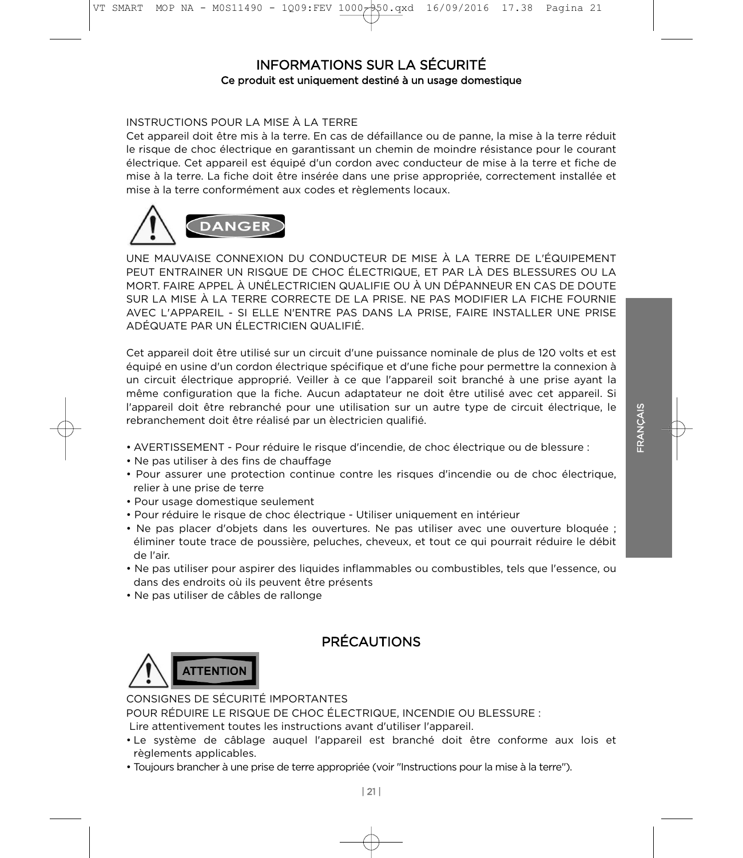#### **INFORMATIONS SUR LA SÉCURITÉ** Ce produit est uniquement destiné à un usage domestique Ce produit est uniquement destiné à un usage domestique

#### INSTRUCTIONS POUR LA MISE À LA TERRE

Cet appareil doit être mis à la terre. En cas de défaillance ou de panne, la mise à la terre réduit le risque de choc électrique en garantissant un chemin de moindre résistance pour le courant électrique. Cet appareil est équipé d'un cordon avec conducteur de mise à la terre et fiche de<br>mise à la terre La fiche doit être insérée dans une prise appropriée correctement installée et mise à la terre conformément aux codes et règlements locaux. mise à la terre conformément aux codes et règlements locaux.<br>Le terre codes et règlements locaux.



UNE MAUVAISE CONNEXION DU CONDUCTEUR DE MISE À LA TERRE DE L'ÉQUIPEMENT<br>PEUT ENTRAINER UN RISQUE DE CHOC ÉLECTRIQUE, ET PAR LÀ DES BLESSURES OU LA MORT, FAIRE APPEL À UNÉLECTRICIEN QUALIFIE OU À UN DÉPANNEUR EN CAS DE DOUTE SUR LA MISE À LA TERRE CORRECTE DE LA PRISE. NE PAS MODIFIER LA FICHE FOURNIE AVEC L'APPAREIL - SI ELLE N'ENTRE PAS DANS LA PRISE, FAIRE INSTALLER UNE PRISE<br>ADÉQUATE PAR UN ÉLECTRICIEN QUALIFIÉ

Cet appareil doit être utilisé sur un circuit d'une puissance nominale de plus de 120 volts et est équipé en usine d'un cordon électrique spécifique et d'une fiche pour permettre la connexion à un circuit électrique approprié. Veiller à ce que l'appareil soit branché à une prise ayant la<br>même configuration que la fiche. Aucun adaptateur ne doit être utilisé avec cet appareil. Si l'appareil doit être rebranché pour une utilisation sur un autre type de circuit électrique, le<br>rebranchement doit être réalisé par un èlectricien qualifié rebranchement doit être réalisé par un èlectricien qualifié.

- AVERTISSEMENT Pour réduire le risque d'incendie, de choc électrique ou de blessure :<br>• Ne pas utiliser à des fins de chauffage
- 
- Pour assurer une protection continue contre les risques d'incendie ou de choc électrique,<br>relier à une prise de terre
- Pour usage domestique seulement
- Pour réduire le risque de choc électrique Utiliser uniquement en intérieur
- Ne pas placer d'objets dans les ouvertures. Ne pas utiliser avec une ouverture bloquée ;<br>
éliminer toute trace de poussière peluches cheveux et tout ce qui pourrait réduire le débit éliminer toute trace de poussière, peluches, cheveux, et tout ce qui pourrait réduire le débit de l'air.<br>Ne nas
- Ne pas utiliser pour aspirer des liquides inflammables ou combustibles, tels que l'essence, ou
- Ne pas utiliser de câbles de rallonge • Ne pas utiliser de câbles de rallonge

# **PRÉCAUTIONS**



CONSIGNES DE SÉCURITÉ IMPORTANTES<br>POUR RÉDUIRE LE RISQUE DE CHOC ÉLECTRIQUE. INCENDIE OU BLESSURE :

Lire attentivement toutes les instructions avant d'utiliser l'appareil.<br>• Le système de câblage, auguel, l'appareil, est, branché doit, être conform

- Le système de câblage auquel l'appareil est branché doit être conforme aux lois et
- Toujours brancher à une prise de terre appropriée (voir "Instructions pour la mise à la terre"). • Toujours brancher à une prise de terre appropriée (voir "Instructions pour la mise à la terre").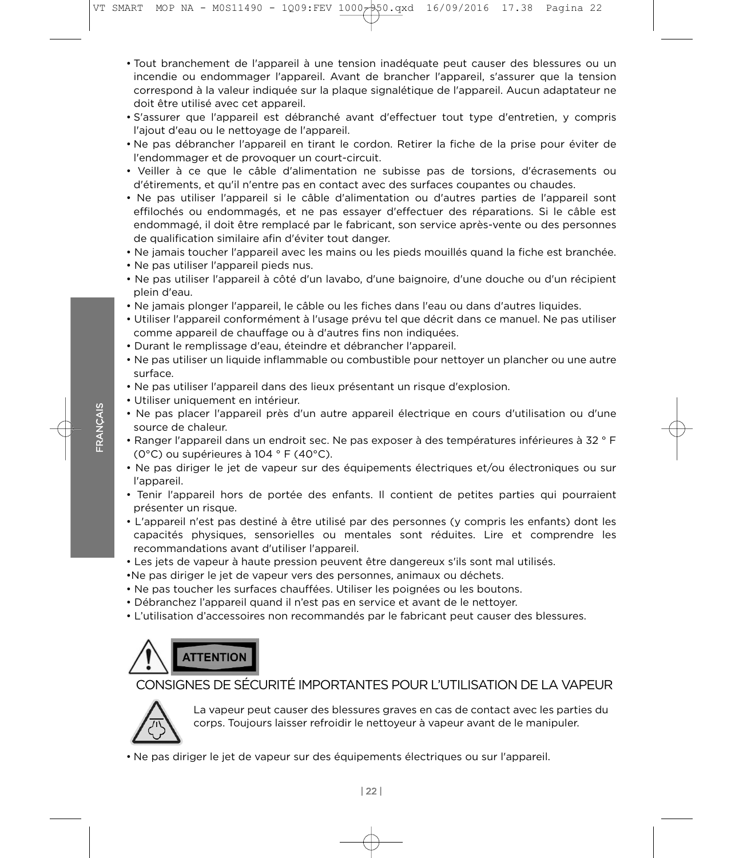- Tout branchement de l'appareil à une tension inadéquate peut causer des blessures ou un incendie ou endommager l'appareil. Avant de brancher l'appareil, s'assurer que la tension correspond à la valeur indiquée sur la plaque signalétique de l'appareil. Aucun adaptateur ne<br>doit être utilisé avec cet appareil.
- S'assurer que l'appareil est débranché avant d'effectuer tout type d'entretien, y compris<br>L'ajout d'eau ou le nettovage de l'appareil l'ajout d'eau ou le nettoyage de l'appareil.<br>Ne nas débrancher l'annareil en tirant le
- Ne pas débrancher l'appareil en tirant le cordon. Retirer la fiche de la prise pour éviter de l'endommager et de provoquer un court-circuit.
- Veiller à ce que le câble d'alimentation ne subisse pas de torsions, d'écrasements ou d'étirements, et qu'il n'entre pas en contact avec des surfaces coupantes ou chaudes.
- Ne pas utiliser l'appareil si le câble d'alimentation ou d'autres parties de l'appareil sont effilochés ou endommagés, et ne pas essayer d'effectuer des réparations. Si le câble est<br>endommagé, il doit être remplacé par le fabricant, son service après-vente ou des personnes de qualification similaire afin d'éviter tout danger.<br>Ne iamais toucher l'annareil avec les mains ou les pieds mouillés quand la fiche est branchée.
- Ne jamais toucher l'appareil avec les mains ou les pieds mouillés quand la fiche est branchée.
- Ne pas utiliser l'appareil pieds nus.
- Ne pas utiliser l'appareil à côté d'un lavabo, d'une baignoire, d'une douche ou d'un récipient plein d'eau.<br>Ne iamais r
- Ne jamais plonger l'appareil, le câble ou les fiches dans l'eau ou dans d'autres liquides.
- Utiliser l'appareil conformément à l'usage prévu tel que décrit dans ce manuel. Ne pas utiliser comme appareil de chauffage ou à d'autres fins non indiquées.
- 
- Ne pas utiliser un liquide inflammable ou combustible pour nettoyer un plancher ou une autre  $\frac{1}{2}$  is the pass unit inflammable output in  $\frac{1}{2}$  is the pour network of uncertainty of uncertainty  $\frac{1}{2}$  is the pour network of uncertainty  $\frac{1}{2}$  is the pour network of uncertainty  $\frac{1}{2}$  is the pour
- Ne pas utiliser l'appareil dans des lieux présentant un risque d'explosion.<br>• Utiliser uniquement en intérieur
- 
- Ne pas placer l'appareil près d'un autre appareil électrique en cours d'utilisation ou d'une<br>source de chaleur.
- Ranger l'appareil dans un endroit sec. Ne pas exposer à des températures inférieures à 32 ° F<br>(0°C) ou supérieures à 104 ° E (40°C) (0°C) ou supérieures à 104 ° F (40°C).<br>• Ne pas diriger le jet de vapeur sur des équipements électriques et/ou électroniques ou sur
- Ne pas diriger le jet de vapeur sur des équipements électriques et/ou électroniques ou sur l'appareil.
- Tenir l'appareil hors de portée des enfants. Il contient de petites parties qui pourraient
- L'appareil n'est pas destiné à être utilisé par des personnes (y compris les enfants) dont les<br>capacités sphysiques sensorielles ou mentales sont réduites l'ire et comprendre les recommandations avant d'utiliser l'appareil.<br>Les jets de vapour à haute pression peuvent être dangereux s'ils sont mal utilisés.
- Les jets de vapeur à haute pression peuvent être dangereux s'ils sont mal utilisés.<br>•Ne pas diriger le jet de vapeur vers des personnes, animaux ou déchets.
- 
- Ne pas toucher les surfaces chauffées. Utiliser les poignées ou les boutons.
- Débranchez l'appareil quand il n'est pas en service et avant de le nettoyer.
- L'utilisation d'accessoires non recommandés par le fabricant peut causer des blessures. • L'utilisation d'accessoires non recommandés par le fabricant peut causer des blessures.



# CONSIGNES DE SÉCURITÉ IMPORTANTES POUR L'UTILISATION DE LA VAPEUR



FR o<br>K ≅<br>≫

> corps. Toujours laisser refreidir le pettoveur à vapeur avant de le manipuler corps. Toujours laisser refroidir le nettoyeur à vapeur avant de le manipuler.

• Ne pas diriger le jet de vapeur sur des équipements électriques ou sur l'appareil.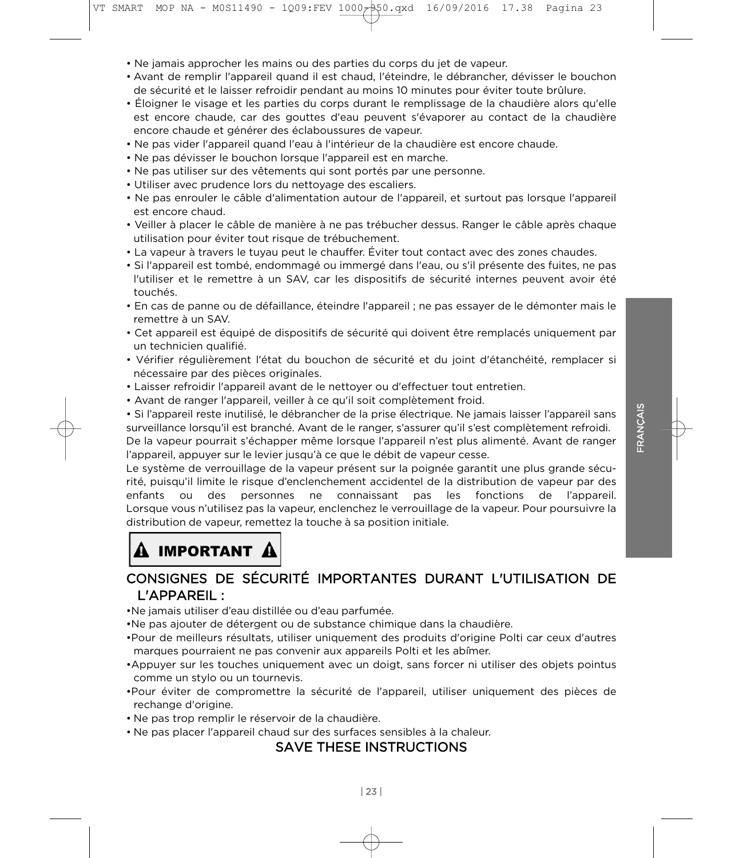- 
- Avant de remplir l'appareil quand il est chaud, l'éteindre, le débrancher, dévisser le bouchon<br>de sécurité et le laisser refroidir pendant au moins 10 minutes pour éviter toute brûlure
- Éloigner le visage et les parties du corps durant le remplissage de la chaudière alors qu'elle • Éloigner le visage et les parties du corps durant le remplissage de la chaudière alors qu'elle est encore chaude, car des gouttes d'eau peuvent s'évaporer au contact de la chaudière<br>encore chaude et générer des éclaboussures de vapeur
- Ne pas vider l'appareil quand l'eau à l'intérieur de la chaudière est encore chaude.<br>• Ne pas dévisser le bouchon lorsque l'appareil est en marche
- Ne pas dévisser le bouchon lorsque l'appareil est en marche.<br>• Ne pas utiliser sur des vêtements qui sont portés par une personne.
- 
- Utiliser avec prudence lors du nettoyage des escaliers.
- Ne pas enrouler le câble d'alimentation autour de l'appareil, et surtout pas lorsque l'appareil<br>est encore chaud
- Veiller à placer le câble de manière à ne pas trébucher dessus. Ranger le câble après chaque utilisation pour éviter tout risque de trébuchement.
- La vapeur à travers le tuyau peut le chauffer. Éviter tout contact avec des zones chaudes.
- Si l'appareil est tombé, endommagé ou immergé dans l'eau, ou s'il présente des fuites, ne pas<br>L'utiliser et le remettre à un SAV car les dispositifs de sécurité internes peuvent avoir été l'utiliser et le remettre à un SAV, car les dispositifs de sécurité internes peuvent avoir été<br>touchés.
- En cas de panne ou de défaillance, éteindre l'appareil ; ne pas essayer de le démonter mais le<br>remettre à un SAV
- Cet appareil est équipé de dispositifs de sécurité qui doivent être remplacés uniquement par un technicien qualifié.
- Vérifier régulièrement l'état du bouchon de sécurité et du joint d'étanchéité, remplacer si<br>pécessaire par des pièces originales
- Laisser refroidir l'appareil avant de le nettoyer ou d'effectuer tout entretien.<br>• Avant de ranger l'appareil, veiller à ce qu'il soit complètement froid
- 

• Avant de ranger l'appareil, veiller à ce qu'il soit complètement froid.<br>• Si l'appareil reste inutilisé, le débrancher de la prise électrique. Ne jamais laisser l'appareil sans surveillance lorsqu'il est branché. Avant de le ranger, s'assurer qu'il s'est complètement refroidi. De la vapeur pourrait s'échapper même lorsque l'appareil n'est plus alimenté. Avant de ranger l'appareil, appuyer sur le levier jusqu'à ce que le débit de vapeur cesse.

Le système de verrouillage de la vapeur présent sur la poignée garantit une plus grande sécurité, puisqu'il limite le risque d'enclenchement accidentel de la distribution de vapeur par des rité, puisque des resonnes ne connaissant pas les fonctions de l'annamil enfants ou des personnes ne connaissant pas les fonctions de l'appareil.<br>Lorsque-vous-n'utilisez-pas-la-vapeur,-enclenchez-le-verrouillage-de-la-vapeur.-Pour-poursuivre-ladistribution de vapeur, remettez la touche à sa position initiale. distribution de vapeur, remettez la touche à sa position initiale. La touche à sa position initiale. La touche<br>De vapour, remet de vapour, remet de vapour, remet de vapour, remet de vapour, remet de vapour, remet de vapou

# IMPORTANT A

# CONSIGNES DE SÉCURITÉ IMPORTANTES DURANT L'UTILISATION DE L'APPAREIL :<br>• Ne iamais utiliser d'eau distillée ou d'eau parfumée.

- 
- •Ne pas ajouter de détergent ou de substance chimique dans la chaudière.
- •Pour de meilleurs résultats, utiliser uniquement des produits d'origine Polti car ceux d'autres
- marques pourraient ne pas convenir aux appareils Polti et les abîmer. comme un stylo ou un tournevis.
- •Pour éviter de compromettre la sécurité de l'appareil, utiliser uniquement des pièces de rechange d'origine.<br>• Ne pas trop remplir le réservoir de la chaudière.
- 
- Ne pas placer l'appareil chaud sur des surfaces sensibles à la chaleur.<br>CAVE TUEEE INSTRUCTIONS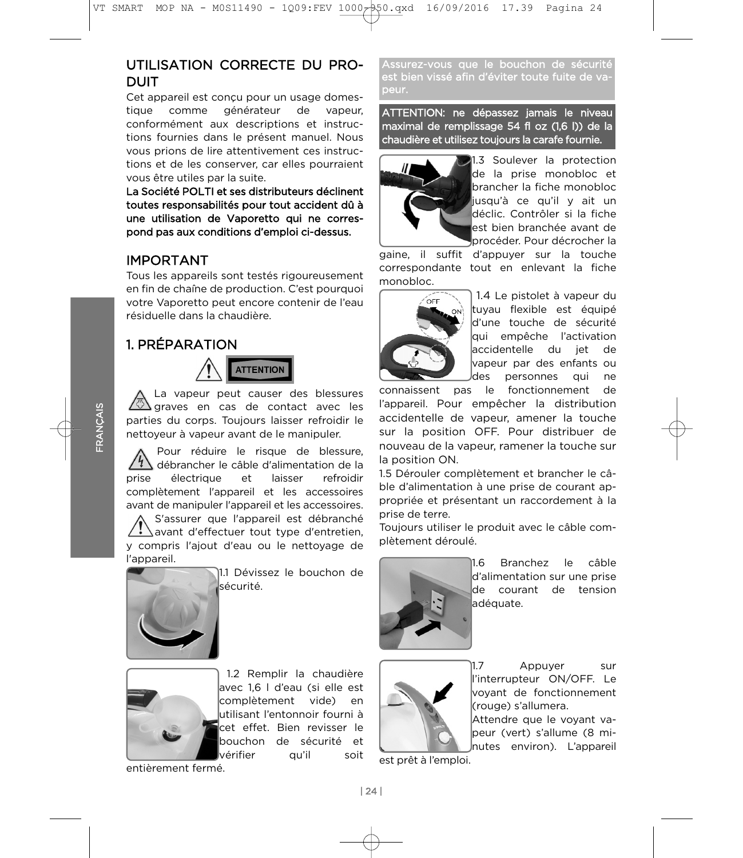# UTILISATION CORRECTE DU PRO-ערי בייני האיז האזויי האיז האזויי האזויי האזויי האזויי האזויי האזויי האזויי האזויי האזויי האזויי האזויי האזויי  $T$

Cet appareil est conçu pour un usage domestique comme générateur de vapeur, conformément aux descriptions et instructions fournies dans le présent manuel. Nous vous prions de lire attentivement ces instructions et de les conserver, car elles pourraient vous être utiles par la suite.

La Société POLTI et ses distributeurs déclinent toutes responsabilités pour tout accident dû à une utilisation de Vaporetto qui ne correspond pas aux conditions d'emploi ci-dessus. pond pas aux conditions d'emploi ci-dessus.

# **IMPORTANT**

Tous les appareils sont testés rigoureusement en fin de chaîne de production. C'est pourquoi votre Vaporetto peut encore contenir de l'eau résiduelle dans la chaudière.

# 1. PRÉPARATION



La vapeur peut causer des blessures I graves en cas de contact avec les parties du corps. Toujours laisser refroidir le nettoyeur à vapeur avant de le manipuler.

Pour réduire le risque de blessure, débrancher le câble d'alimentation de la<br>électrique et laisser refroidire prise complètement l'appareil et les accessoires complètement l'appareil et les accessoires avant de manipuler l'appareil et les accessoires.

S'assurer que l'appareil est débranché  $\langle \cdot \rangle$  avant d'effectuer tout type d'entretien, y compris l'ajout d'eau ou le nettoyage de l'appareil.



11.1 Dévissez le bouchon de sécurité.



| 1.2 Remplir la chaudière<br>|avec 1.6 | d'eau (si elle est complètement vide) en lutilisant l'entonnoir fourni à cet effet. Bien revisser le bouchon de sécurité et vérifier qu'il soit vérifier que il soit de la proposition de la proposition de la proposition de la proposition de la proposition<br>La proposition de la proposition de la proposition de la proposition de la proposition de la proposition de la

Assurez-vous que le bouchon de sécurité est bien vissé afin d'éviter toute fuite de vapeur.

ATTENTION: ne dépassez jamais le niveau<br>maximal de remplissage 54 fl oz (1,6 l)) de la maximal de remplis<br>Anti-indicato de remainda de remainista de remplis chaudière et utilisez toujours la carafe fournie.



de la prise monobloc et brancher la fiche monobloc iusqu'à ce qu'il y ait un déclic. Contrôler si la fiche lest bien branchée avant de procéder. Pour décrocher la

gaine, il suffit d'appuyer sur la touche correspondante tout en enlevant la fiche monobloc.



) 1.4 Le pistolet à vapeur du<br>Ituvau flexible est équipé d'une touche de sécurité qui empêche l'activation laccidentelle du iet de vapeur par des enfants ou des personnes qui ne

connaissent pas le fonctionnement de l'appareil. Pour empêcher la distribution accidentelle de vapeur, amener la touche sur la position OFF. Pour distribuer de nouveau de la vapeur, ramener la touche sur la position ON.

1.5 Dérouler complètement et brancher le câ-<br>ble d'alimentation à une prise de courant anble d'alimentation à une prise de courant ap-<br>propriée et présentant un raccordement à la prise de terre.

Toujours utiliser le produit avec le câble complètement déroulé. plètement déroulé.



**Branchez** câble 11.6 le d'alimentation sur une prise de courant de tension ladéquate. adéquate.



1.7 Appuyer sur lvovant de fonctionnement (rouge) s'allumera.

Attendre que le voyant vapeur (vert) s'allume (8 minutes environ). L'appareil nutes environ). L'appareil

est prêt à l'emploi.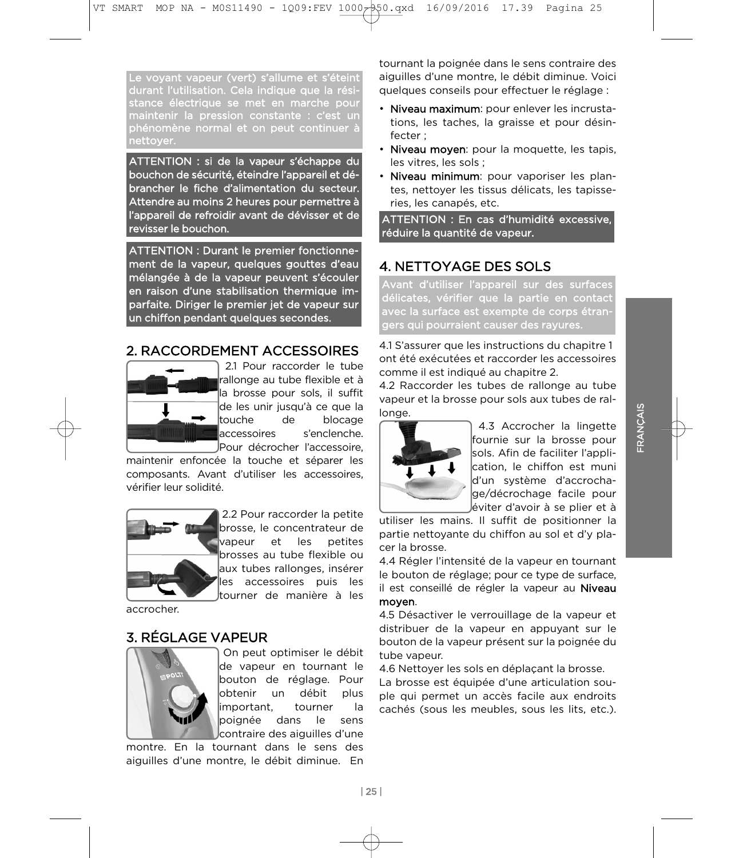Le voyant vapeur (vert) s'allume et s'éteint durant l'utilisation. Cela indique que la résistance électrique se met en marche pour maintenir la pression constante : c'est un phénomène normal et on peut continuer à nettoyer.

ATTENTION : si de la vapeur s'échappe du brancher le fiche d'alimentation du secteur. Attendre au moins 2 heures pour permettre à l'appareil de refroidir avant de dévisser et de revisser le bouchon. revisser le bouchon.

ATTENTION : Durant le premier fonctionnemélangée à de la vapeur peuvent s'écouler en raison d'une stabilisation thermique imparfaite. Diriger le premier jet de vapeur sur un chiffon pendant quelques secondes. un chiffon pendant quelques secondes.

## 2. RACCORDEMENT ACCESSOIRES



2.1 Pour raccorder le tube rallonge au tube flexible et à la brosse pour sols, il suffit de les unir jusqu'à ce que la ltouche de blocage laccessoires s'enclenche. JPour décrocher l'accessoire,

maintenir enfoncée la touche et séparer les composants. Avant d'utiliser les accessoires, vérifier leur solidité.



2.2 Pour raccorder la petite brosse, le concentrateur de lvapeur et les petites brosses au tube flexible ou laux tubes rallonges, insérer les accessoires puis les ltourner de manière à les

accrocher.

## 3. RÉGLAGE VAPEUR



On peut optimiser le débit de vapeur en tournant le bouton de réglage. Pour lobtenir un débit plus important, tourner la poignée dans le sens contraire des aiguilles d'une

montre. En la tournant dans le sens des montre. En la tournant dans le sens des<br>aiguilles d'une montre. le débit diminue. En aiguilles d'une montre, le débit diminue. En

tournant la poignée dans le sens contraire des auelques conseils pour effectuer le réglage :

- Niveau maximum: pour enlever les incrustations, les taches, la graisse et pour désinfecter :
- Niveau moyen: pour la moquette, les tapis, les vitres, les sols :
- · Niveau minimum: pour vaporiser les plantes, nettoyer les tissus délicats, les tapisseries, les canapés, etc.

ATTENTION : En cas d'humidité excessive, réduire la quantité de vapeur. réduire la quantité de vapeur.

# 4. NETTOYAGE DES SOLS

Avant d'utiliser l'appareil sur des surfaces délicates, vérifier que la partie en contact avec la surface est exempte de corps étrangers qui pourraient causer des rayures. gers qui pourraient causer des rayures.

4.1 S'assurer que les instructions du chapitre 1 comme il est indiqué au chapitre 2.

4.2 Raccorder les tubes de rallonge au tube vapeur et la brosse pour sols aux tubes de ralvapeur et la brosse pour sols aux tubes de ral-



4.3 Accrocher la lingette<br>fournie sur la brosse pour sols. Afin de faciliter l'application, le chiffon est muni d'un système d'accrochaqe/décrochage facile pour léviter d'avoir à se plier et à

utiliser les mains. Il suffit de positionner la partie nettoyante du chiffon au sol et d'y placer la brosse.

4.4 Régler l'intensité de la vapeur en tournant le bouton de réglage; pour ce type de surface, il est conseillé de régler la vapeur au Niveau moven.

4.5 Désactiver le verrouillage de la vapeur et distribuer de la vapeur en appuvant sur le bouton de la vapeur présent sur la poignée du tube vapeur.

4.6 Nettoyer les sols en déplaçant la brosse.

La brosse est équipée d'une articulation souple qui permet un accès facile aux endroits cachés (sous les meubles, sous les lits, etc.). cachés (sous les meubles, sous les lits, etc.).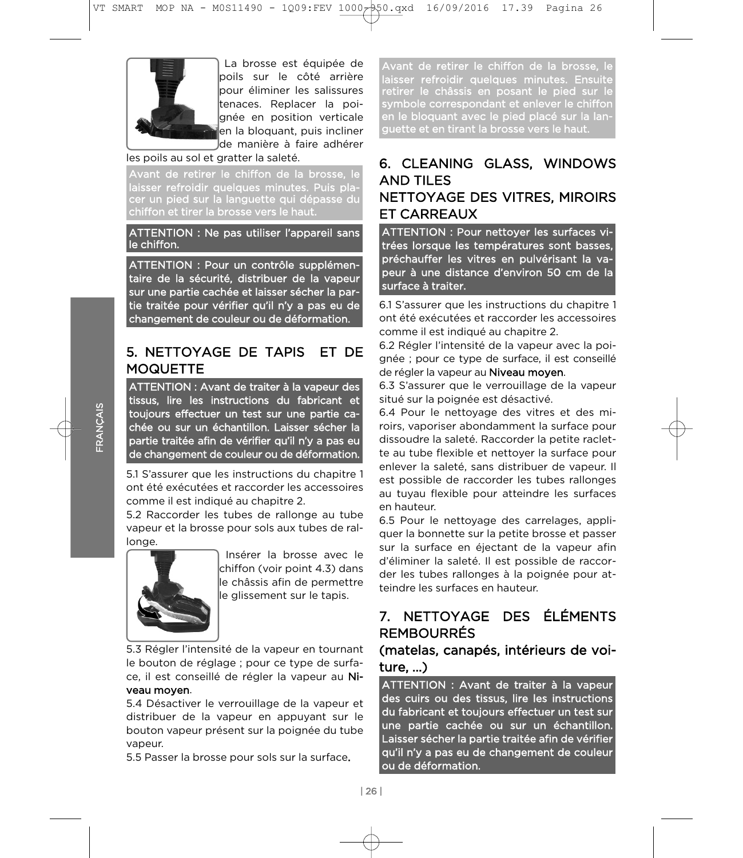

) La brosse est équipée de<br>Ipoils sur le côté arrière lpour éliminer les salissures ltenaces. Replacer la poignée en position verticale en la bloquant, puis incliner Ide manière à faire adhérer

#### les poils au sol et gratter la saleté.

Avant de retirer le chiffon de la brosse, le laisser refroidir quelques minutes. Puis pla-<br>cer un pied sur la languette qui dépasse du chiffon et tirer la brosse vers le haut.

ATTENTION : Ne pas utiliser l'appareil sans le chiffon.

ATTENTION : Pour un contrôle supplémen-<br>taire de la sécurité, distribuer de la vapeur sur une partie cachée et laisser sécher la partie traitée pour vérifier qu'il n'y a pas eu de changement de couleur ou de déformation. changement de couleur ou de déformation.

## 5. NETTOYAGE DE TAPIS ET DE **MOQUETTE**

ATTENTION : Avant de traiter à la vapeur des tissus, lire les instructions du fabricant et toujours effectuer un test sur une partie cachée ou sur un échantillon. Laisser sécher la partie traitée afin de vérifier qu'il n'y a pas eu de changement de couleur ou de déformation. de changement de couleur ou de déformation.

5.1 S'assurer que les instructions du chapitre 1 comme il est indiqué au chapitre 2.

5.2 Raccorder les tubes de rallonge au tube vapeur et la brosse pour sols aux tubes de ralvan die broei van die broei van die broei van die broei van die broei van die broei van die broei van die broe<br>Die broei van die broei van die broei van die broei van die broei van die broei van die broei van die broei va longe.



Insérer la brosse avec le lchiffon (voir point 4.3) dans le châssis afin de permettre le alissement sur le tapis. le glissement sur le tapis.

5.3 Régler l'intensité de la vapeur en tournant<br>le bouton de réglage ; pour ce type de surface, il est conseillé de régler la vapeur au Niveau moven.

5.4 Désactiver le verrouillage de la vapeur et distribuer de la vapeur en appuyant sur le distribución de la vapeur de la vapeur de la vapeur de la vapeur de la vapeur de la vapeur de la vapeur de la bouton vapeur présent sur la poignée du tube

5.5 Passer la brosse pour sols sur la surface. 5.5 Passer la brosse pour sols sur la surface.

Avant de retirer le chiffon de la brosse, le<br>laisser refroidir quelques minutes. Ensuite laisser refroidir quelques minutes. Ensuite retirer le châssis en posant le pied sur le symbole correspondant et enlever le chiffon en le bloquant avec le pied placé sur la languette et en tirant la brosse vers le haut.

## 6. CLEANING GLASS, WINDOWS **AND TILES** NETTOYAGE DES VITRES, MIROIRS **ET CARREAUX**

ATTENTION : Pour nettoyer les surfaces vitrées lorsque les températures sont basses, préchauffer les vitres en pulvérisant la vapeur à une distance d'environ 50 cm de la sur face à traiter.

ont été exécutées et raccorder les accessoires comme il est indiqué au chapitre 2. 6.1 S'assurer que les instructions du chapitre 1

6.2 Régler l'intensité de la vapeur avec la poignée ; pour ce type de surface, il est conseillé de régler la vapeur au Niveau moyen.

6.3 S'assurer que le verrouillage de la vapeur situé sur la poignée est désactivé.

6.4 Pour le nettoyage des vitres et des miroirs, vaporiser abondamment la surface pour dissoudre la saleté. Raccorder la petite raclette au tube flexible et nettoyer la surface pour enlever la saleté, sans distribuer de vapeur. Il est possible de raccorder les tubes rallonges au tuyau flexible pour atteindre les surfaces en hauteur.

6.5 Pour le nettoyage des carrelages, appliquer la bonnette sur la petite brosse et passer sur la surface en éjectant de la vapeur afin d'éliminer la saleté. Il est possible de raccorder les tubes rallonges à la poignée pour atteindre les surfaces en hauteur.

## 7. NETTOYAGE DES ÉLÉMENTS REMBOURRÉS

## (matelas, canapés, intérieurs de voiture, ...)

ATTENTION : Avant de traiter à la vapeur des cuirs ou des tissus, lire les instructions du fabricant et toujours effectuer un test sur une partie cachée ou sur un échantillon. Laisser sécher la partie traitée afin de vérifier qu'il n'y a pas eu de changement de couleur ou de déformation. ou de déformation.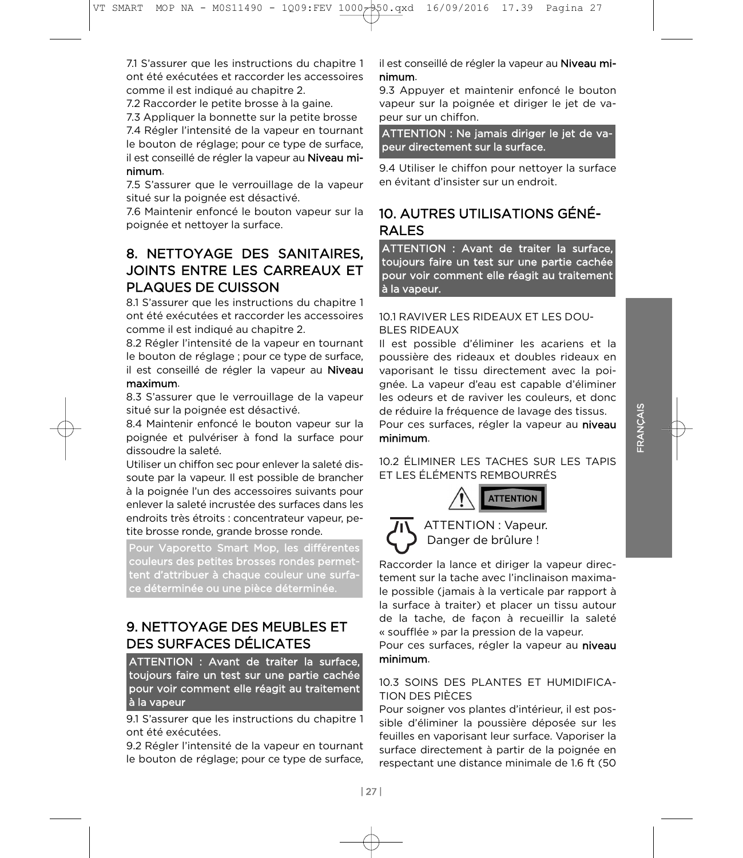| 27 |

7.1 S'assurer que les instructions du chapitre 1 comme il est indiqué au chapitre 2.

7.2 Raccorder le petite brosse à la gaine.

7.3 Appliquer la bonnette sur la petite brosse

7.4 Régler l'intensité de la vapeur en tournant le bouton de réglage; pour ce type de surface, il est conseillé de régler la vapeur au Niveau minimum.

7.5 S'assurer que le verrouillage de la vapeur situé sur la poignée est désactivé.

7.6 Maintenir enfoncé le bouton vapeur sur la poignée et nettoyer la surface. poignée et nettoyer la surface.

# 8. NETTOYAGE DES SANITAIRES. **JOINTS ENTRE LES CARREAUX ET** PLAQUES DE CUISSON

8.1 S'assurer que les instructions du chapitre 1 ont été exécutées et raccorder les accessoires comme il est indiqué au chapitre 2.

8.2 Régler l'intensité de la vapeur en tournant le bouton de réglage ; pour ce type de surface, il est conseillé de régler la vapeur au Niveau maximum.

8.3 S'assurer que le verrouillage de la vapeur situé sur la poignée est désactivé.

8.4 Maintenir enfoncé le bouton vapeur sur la poignée et pulvériser à fond la surface pour dissoudre la saleté.

Utiliser un chiffon sec pour enlever la saleté dissoute par la vapeur. Il est possible de brancher à la poignée l'un des accessoires suivants pour enlever la saleté incrustée des surfaces dans les endroits très étroits : concentrateur vapeur, petite brosse ronde, grande brosse ronde.

Pour Vaporetto Smart Mop, les différentes couleurs des petites brosses rondes permettent d'attribuer à chaque couleur une surfatent d'attribué d'attribuer à contrattribuer de couleur de couleur de couleur de couleur de couleur de couleur<br>Le présent une surface de couleur une surface déterminée ou une pièce déterminée.

# 9. NETTOYAGE DES MEUBLES ET DES SURFACES DÉLICATES

ATTENTION : Avant de traiter la surface. toujours faire un test sur une partie cachée pour voir comment elle réagit au traitement à la vapeur

ont été exécutées. 9.1 S'assurer que les instructions du chapitre 1

9.2 Régler l'intensité de la vapeur en tournant le bouton de réglage; pour ce type de surface, le bouton de réglage; pour ce type de surface,

il est conseillé de régler la vapeur au **Niveau mi-**<br>**nimum**.

9.3 Appuver et maintenir enfoncé le bouton vapeur sur la poignée et diriger le jet de vapeur sur un chiffon.

ATTENTION : Ne jamais diriger le jet de vapeur directement sur la surface. peur directement sur la surface.

en évitant d'insister sur un endroit.

# 10. AUTRES UTILISATIONS GÉNÉ-RAI FS

ATTENTION : Avant de traiter la surface, toujours faire un test sur une partie cachée pour voir comment elle réagit au traitement pour voir comment en deux de comment en deux de comment en deux de commentaires de commentaires de commentaire<br>Le pour de commentaire de commentaire de commentaire de commentaire de commentaire de commentaire de comme de à la vapeur.

#### 10.1 RAVIVER LES RIDEAUX ET LES DOU-**BLES RIDEAUX**

Il est possible d'éliminer les acariens et la poussière des rideaux et doubles rideaux en vaporisant le tissu directement avec la poignée. La vapeur d'eau est capable d'éliminer les odeurs et de raviver les couleurs, et donc de réduire la fréquence de lavage des tissus. Pour ces surfaces, régler la vapeur au niveau minimum.

10.2 ÉLIMINER LES TACHES SUR LES TAPIS **ET LES ÉLÉMENTS REMBOURRÉS** 





ATTENTION : Vapeur.<br>Danger de brûlure ! Danger de brûlure !

Raccorder la lance et diriger la vapeur direc-<br>tement sur la tache avec l'inclinaison maximale possible (jamais à la verticale par rapport à la surface à traiter) et placer un tissu autour de la tache, de facon à recueillir la saleté « soufflée » par la pression de la vapeur.

Pour ces surfaces, régler la vapeur au niveau minimum. minimum.

#### 10.3 SOINS DES PLANTES ET HUMIDIFICA-**TION DES PIÈCES**

Pour soigner vos plantes d'intérieur, il est possible d'éliminer la poussière déposée sur les feuilles en vaporisant leur surface. Vaporiser la surface directement à partir de la poignée en respectant une distance minimale de 1.6 ft (50 respectant une distance minimale de 1.6 ft (50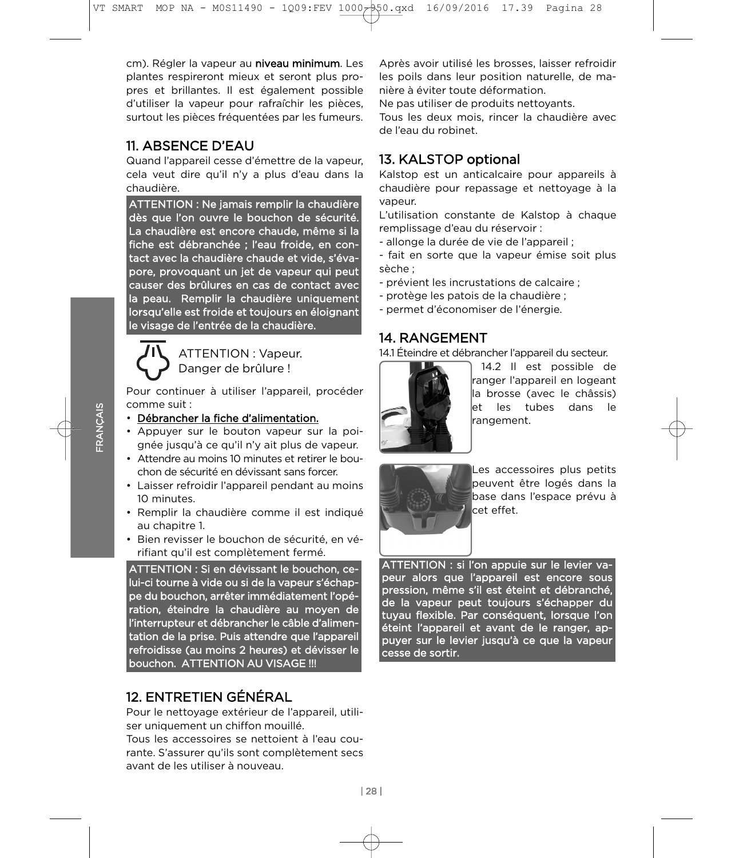cm). Régler la vapeur au **niveau minimum**. Les<br>plantes respireront mieux et seront plus propres et brillantes. Il est également possible d'utiliser la vapeur pour rafraîchir les pièces, surtout les pièces fréquentées par les fumeurs. surtout les pièces fréquentées par les fumeurs.

# 11. ABSENCE D'EAU

Quand l'appareil cesse d'émettre de la vapeur. cela veut dire qu'il n'y a plus d'eau dans la chaudière.

ATTENTION : Ne jamais remplir la chaudière dès que l'on ouvre le bouchon de sécurité. La chaudière est encore chaude, même si la fiche est débranchée ; l'eau froide, en contact avec la chaudière chaude et vide, s'évapore, provoquant un jet de vapeur qui peut causer des brûlures en cas de contact avec la peau. Remplir la chaudière uniquement lorsqu'elle est froide et toujours en éloignant le visage de l'entrée de la chaudière. le visage de l'entrée de la chaudière.



ATTENTION: Vapeur. Danger de brûlure !

Pour continuer à utiliser l'appareil, procéder<br>comme suit : Danger de brûlure !

#### · Débrancher la fiche d'alimentation.

- Appuyer sur le bouton vapeur sur la poignée jusqu'à ce qu'il n'y ait plus de vapeur.
- Attendre au moins 10 minutes et retirer le bouchon de sécurité en dévissant sans forcer.
- Laisser refroidir l'appareil pendant au moins 10 minutes.
- · Remplir la chaudière comme il est indiqué au chapitre 1.
- · Bien revisser le bouchon de sécurité, en vérifiant qu'il est complètement fermé.

ATTENTION : Si en dévissant le bouchon, celui-ci tourne à vide ou si de la vapeur s'échappe du bouchon, arrêter immédiatement l'opération, éteindre la chaudière au moyen de l'interrupteur et débrancher le câble d'alimentation de la prise. Puis attendre que l'appareil refroidisse (au moins 2 heures) et dévisser le refroidisse (au moins 2 heures) et dévisser le bouchon. At the second authorities in the second second authorities in the second second second second second second second second second second second second second second second second second second second second second

# 12. ENTRETIEN GÉNÉRAL

Pour le nettoyage extérieur de l'appareil, utiliser uniquement un chiffon mouillé.

Tous les accessoires se nettoient à l'eau courante. S'assurer qu'ils sont complètement secs avant de les utiliser à nouveau.

Après avoir utilisé les brosses, laisser refroidir nière à éviter toute déformation.

Ne pas utiliser de produits nettoyants.

Tous les deux mois, rincer la chaudière avec de l'eau du robinet.

# 13. KALSTOP optional

Kalstop est un anticalcaire pour appareils à chaudière pour repassage et nettoyage à la vapeur.

L'utilisation constante de Kalstop à chaque remplissage d'eau du réservoir :

- allonge la durée de vie de l'appareil ;
- fait en sorte que la vapeur émise soit plus - fait en sorte que la vapeur émise soit plus émise soit plus émise soit plus émise soit plus é un soit plus é<br>La vapeur émise soit plus é un soit plus é un soit plus é un soit plus é un soit plus é un soit plus é un soit
- prévient les incrustations de calcaire ;
- protège les patois de la chaudière ;
- permet d'économiser de l'énergie. - permet d'économiser de l'énergie.

# 14. RANGEMENT

14.1 Éteindre et débrancher l'appareil du secteur.



14.2 Il est possible de ranger l'appareil en logeant lla brosse (avec le châssis) let les tubes dans le lrangement. rangement.



Les accessoires plus petits<br>peuvent être logés dans la base dans l'espace prévu à lcet effet. cet effet.

ATTENTION : si l'on appuie sur le levier vapeur alors que l'appareil est encore sous pression, même s'il est éteint et débranché, de la vapeur peut toujours s'échapper du tuyau flexible. Par conséquent, lorsque l'on éteint l'appareil et avant de le ranger, appuyer sur le levier jusqu'à ce que la vapeur cesse de sortir.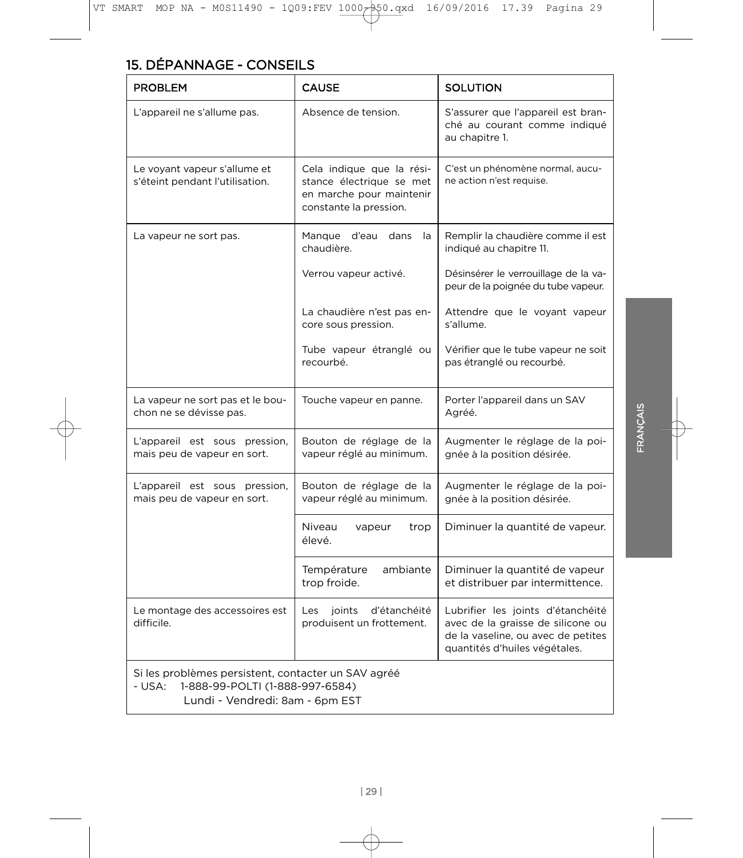| <b>PROBLEM</b>                                                                                                                      | <b>CAUSE</b>                                                                                                | <b>SOLUTION</b>                                                                                                                               |
|-------------------------------------------------------------------------------------------------------------------------------------|-------------------------------------------------------------------------------------------------------------|-----------------------------------------------------------------------------------------------------------------------------------------------|
| L'appareil ne s'allume pas.                                                                                                         | Absence de tension.                                                                                         | S'assurer que l'appareil est bran-<br>ché au courant comme indiqué<br>au chapitre 1.                                                          |
| Le voyant vapeur s'allume et<br>s'éteint pendant l'utilisation.                                                                     | Cela indique que la rési-<br>stance électrique se met<br>en marche pour maintenir<br>constante la pression. | C'est un phénomène normal, aucu-<br>ne action n'est requise.                                                                                  |
| La vapeur ne sort pas.                                                                                                              | Manque d'eau<br>dans<br>la<br>chaudière.                                                                    | Remplir la chaudière comme il est<br>indiqué au chapitre 11.                                                                                  |
|                                                                                                                                     | Verrou vapeur activé.                                                                                       | Désinsérer le verrouillage de la va-<br>peur de la poignée du tube vapeur.                                                                    |
|                                                                                                                                     | La chaudière n'est pas en-<br>core sous pression.                                                           | Attendre que le voyant vapeur<br>s'allume.                                                                                                    |
|                                                                                                                                     | Tube vapeur étranglé ou<br>recourbé.                                                                        | Vérifier que le tube vapeur ne soit<br>pas étranglé ou recourbé.                                                                              |
| La vapeur ne sort pas et le bou-<br>chon ne se dévisse pas.                                                                         | Touche vapeur en panne.                                                                                     | Porter l'appareil dans un SAV<br>Agréé.                                                                                                       |
| L'appareil est sous pression,<br>mais peu de vapeur en sort.                                                                        | Bouton de réglage de la<br>vapeur réglé au minimum.                                                         | Augmenter le réglage de la poi-<br>gnée à la position désirée.                                                                                |
| L'appareil est sous pression,<br>mais peu de vapeur en sort.                                                                        | Bouton de réglage de la<br>vapeur réglé au minimum.                                                         | Augmenter le réglage de la poi-<br>gnée à la position désirée.                                                                                |
|                                                                                                                                     | Niveau<br>vapeur<br>trop<br>élevé.                                                                          | Diminuer la quantité de vapeur.                                                                                                               |
|                                                                                                                                     | Température<br>ambiante<br>trop froide.                                                                     | Diminuer la quantité de vapeur<br>et distribuer par intermittence.                                                                            |
| Le montage des accessoires est<br>difficile.                                                                                        | d'étanchéité<br>Les<br>joints<br>produisent un frottement.                                                  | Lubrifier les joints d'étanchéité<br>avec de la graisse de silicone ou<br>de la vaseline, ou avec de petites<br>quantités d'huiles végétales. |
| Si les problèmes persistent, contacter un SAV agréé<br>1-888-99-POLTI (1-888-997-6584)<br>- USA:<br>Lundi - Vendredi: 8am - 6pm EST |                                                                                                             |                                                                                                                                               |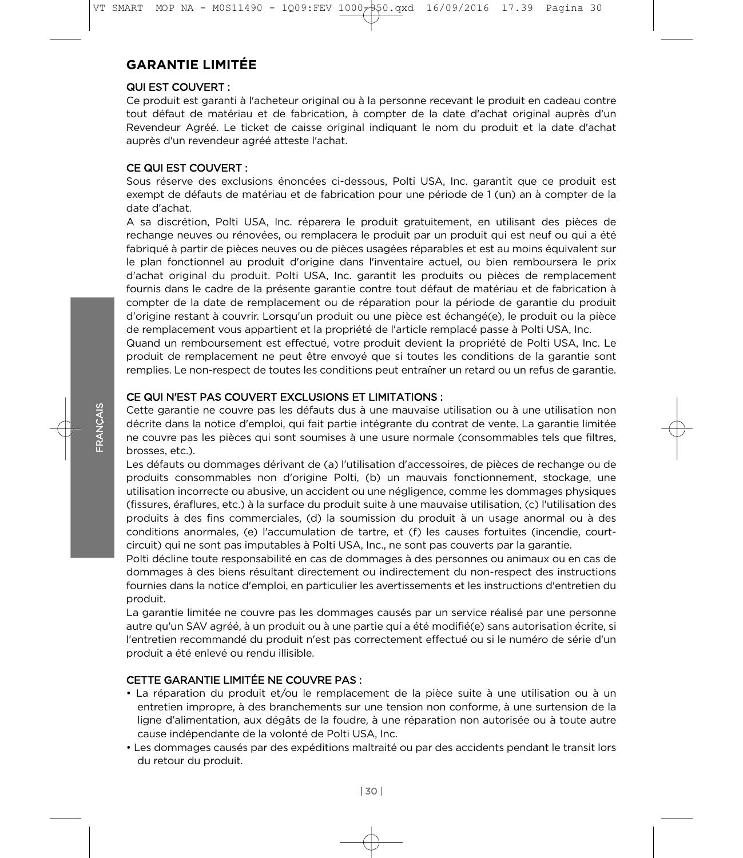# **GARANTIE LIMITÉE**

#### QUI EST COUVERT:

Ce produit est garanti à l'acheteur original ou à la personne recevant le produit en cadeau contre tout défaut de matériau et de fabrication, à compter de la date d'achat original auprès d'un tout défaut de matériau et de fabrication, à compter de la date d'achat original auprès d'un<br>Pevendeur Agréé Le ticket de caisse original indiquant le nom du produit et la date d'achat Revendeur Agréé. Le ticket de caisse original indiquant le nom du produit et la date d'achat<br>auprès d'un revendeur agréé atteste l'achat auprès d'un revendeur agréé atteste l'achat.

CE QUI EST COUVERT :<br>Sous réserve des exclusions énoncées ci-dessous, Polti USA, Inc. garantit que ce produit est exempt de défauts de matériau et de fabrication pour une période de 1 (un) an à compter de la exempt de défauts de matériau et de matériau et de fabrication pour une période de 1 (un) an à compter de la p<br>De la période de la période de la période de la période de la période de la période de la période de la périod date d'achat.<br>A sa discrétion, Polti USA, Inc. réparera le produit gratuitement, en utilisant des pièces de

rechange neuves ou rénovées, ou remplacera le produit par un produit qui est neuf ou qui a été fabriqué à partir de pièces neuves ou de pièces usagées réparables et est au moins équivalent sur le plan fonctionnel au produit d'origine dans l'inventaire actuel, ou bien remboursera le prix<br>d'achat original du produit Polti USA, loc garantit les produits ou pièces de remplacement d'achat original du produit. Polti USA, Inc. garantit les produits ou pièces de remplacement<br>fournis dans le cadre de la présente garantie contre tout défaut de matériau et de fabrication à compter de la date de remplacement ou de réparation pour la période de garantie du produit d'origine restant à couvrir. Lorsqu'un produit ou une pièce est échangé(e), le produit ou la pièce<br>de remplacement vous appartient et la propriété de l'article remplacé passe à Polti USA. Inc de remplacement vous appartient et la propriété de l'article remplacé passe à Polti USA, Inc.<br>Quand un remboursement est effectué, votre produit devient la propriété de Polti USA, Inc. Le

produit de remplacement ne peut être envoyé que si toutes les conditions de la garantie sont remplies. Le non-respect de toutes les conditions peut entraîner un retard ou un refus de garantie. remplies. Le non-respect de toutes les conditions peut entraîner un retard ou un refus de garantie.

CE QUI N'EST PAS COUVERT EXCLUSIONS ET LIMITATIONS :<br>Cette garantie ne couvre pas les défauts dus à une mauvaise utilisation ou à une utilisation non décrite dans la notice d'emploi, qui fait partie intégrante du contrat de vente. La garantie limitée<br>De couvre pas les pièces qui sont soumises à une usure pormale (consommables tels que filtres  $n_{\text{reco}}$  and  $n_{\text{reco}}$  sound sound sound sound sound  $\alpha$ 

Les défauts ou dommages dérivant de (a) l'utilisation d'accessoires, de pièces de rechange ou de<br>produits consommables, non d'origine, Polti, (b), un mauvais fonctionnement, stockage, une produits consommables non d'origine Polti, (b) un mauvais fonctionnement, stockage, une (fissures, éraflures, etc.) à la surface du produit suite à une mauvaise utilisation, (c) l'utilisation des<br>produits à des fins commerciales (d) la soumission du produit à un usage apormal ou à des enduitions anormales, (e) l'accumulation de tartre, et (f) les causes fortuites (incendie, court-<br>circuit) qui ne sont pas imputables à Polti USA. Inc. ne sont pas couverts par la garantie circuit) qui ne sont pas imputables à Polti USA, Inc., ne sont pas couverts par la garantie.<br>Polti décline toute responsabilité en cas de dommages à des personnes ou animaux ou en cas de

dommages à des biens résultant directement ou indirectement du non-respect des instructions fournies dans la notice d'emploi, en particulier les avertissements et les instructions d'entretien du<br>produit

La garantie limitée ne couvre pas les dommages causés par un service réalisé par une personne autre qu'un SAV agréé, à un produit ou à une partie qui a été modifié(e) sans autorisation écrite, si<br>L'entretien recommandé du produit p'est pas correctement effectué ou si le numére de série d'un l'entretien recommandé du produit n'est pas correctement effectué ou si le numéro de série d'un<br>produit a été enlevé ou rendu illisible. produit a été enlevé ou rendu illisible.

#### CETTE GARANTIE LIMITÉE NE COUVRE PAS :

- La réparation du produit et/ou le remplacement de la pièce suite à une utilisation ou à un entretien impropre, à des branchements sur une tension non conforme, à une surtension de la ligne d'alimentation, aux dégâts de la foudre, à une réparation non autorisée ou à toute autre<br>cause indépendante de la volenté de Pelti USA, les cause indépendante de la volonté de Polti USA, Inc.<br>• Les dommages causés par des expéditions maltraité ou par des accidents pendant le transit lors
- Les dommages causés par des expéditions maltraité ou par des accidents pendant le transit lors du retour du produit.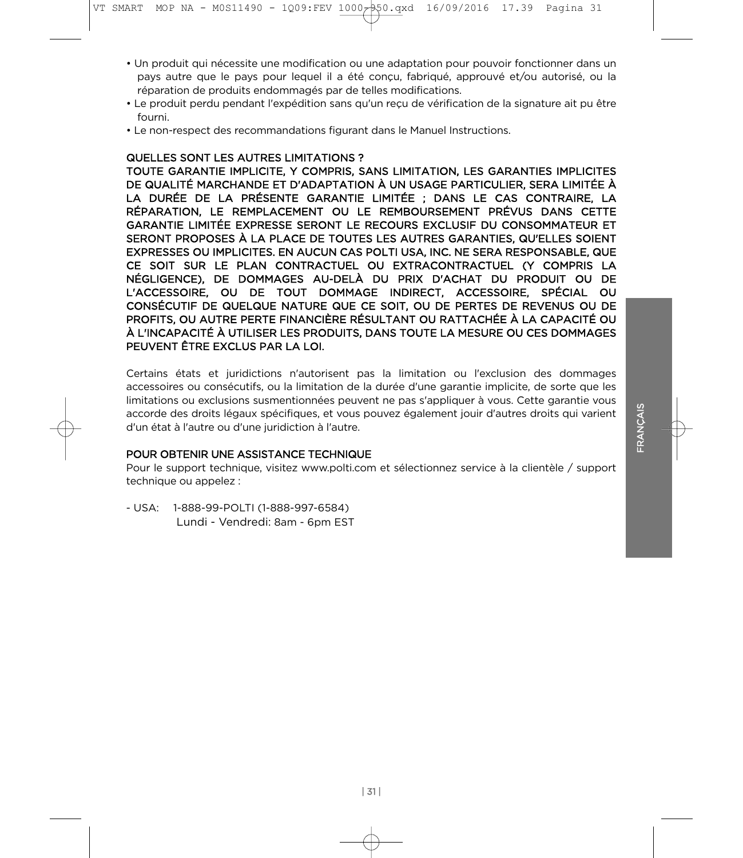- Un produit qui nécessite une modification ou une adaptation pour pouvoir fonctionner dans un réparation de produits endommagés par de telles modifications.
- Le produit perdu pendant l'expédition sans qu'un reçu de vérification de la signature ait pu être<br>fourni
- Le non-respect des recommandations figurant dans le Manuel Instructions. • Le non-respect des recommandations figurant dans le Manuel Instructions.

#### **QUELLES SONT LES AUTRES LIMITATIONS?**

TOUTE GARANTIE IMPLICITE, Y COMPRIS, SANS LIMITATION, LES GARANTIES IMPLICITES DE QUALITÉ MARCHANDE ET D'ADAPTATION À UN USAGE PARTICULIER, SERA LIMITÉE À LA DURÉE DE LA PRÉSENTE GARANTIE LIMITÉE ; DANS LE CAS CONTRAIRE, LA RÉPARATION, LE REMPLACEMENT OU LE REMBOURSEMENT PRÉVUS DANS CETTE GARANTIE LIMITÉE EXPRESSE SERONT LE RECOURS EXCLUSIF DU CONSOMMATEUR ET SERONT PROPOSES À LA PLACE DE TOUTES LES AUTRES GARANTIES, QU'ELLES SOIENT<br>EXPRESSES OLLIMBLICITES EN ALICUN CAS POLTITISA INC. NE SERA RESPONSABLE QUE EXPRESSES OU IMPLICITES. EN AUCUN CAS POLTI USA, INC. NE SERA RESPONSABLE, QUE NÉGLIGENCE), DE DOMMAGES AU-DELÀ DU PRIX D'ACHAT DU PRODUIT OU DE NÉGLIGENCE), DE DOMMAGES AU-DELA DU PRIX D'ACHAT DU PRODUIT OU DE<br>L'ACCESSOIRE. OU DE TOUT DOMMAGE INDIRECT. ACCESSOIRE SPÉCIAL OU L'ACCESSOIRE, OU DE TOUT DOMMAGE INDIRECT, ACCESSOIRE, SPÉCIAL OU<br>CONSÉCUTIE DE QUELQUE NATURE QUE CE SOIT QUI DE RERTES DE REVENUS QUI DE CONSÉCUTIF DE QUELQUE NATURE QUE CE SOIT, OU DE PERTES DE REVENUS OU DE<br>PROFITS, OU AUTRE PERTE FINANCIÈRE RÉSULTANT OU RATTACHÉE À LA CAPACITÉ OU À L'INCAPACITÉ À UTILISER LES PRODUITS, DANS TOUTE LA MESURE OU CES DOMMAGES<br>PELIVENT ÊTRE EXCLUS PAR LA LOL PEUVENT ÊTRE EXCLUS PAR LA LOI.

Certains états et juridictions n'autorisent pas la limitation ou l'exclusion des dommages accessoires ou consécutifs, ou la limitation de la durée d'une garantie implicite, de sorte que les limitations ou exclusions susmentionnées peuvent ne pas s'appliquer à vous. Cette garantie vous accorde des droits légaux spécifiques, et vous pouvez également jouir d'autres droits qui varient d'un état à l'autre ou d'une juridiction à l'autre.

#### POUR OBTENIR UNE ASSISTANCE TECHNIQUE

Pour le support technique, visitez www.polti.com et sélectionnez service à la clientèle / support technique ou appelez : technique ou appelez :

- USA: 1-888-99-POLTI (1-888-997-6584) Lundi - Vendredi: 8am - 6pm EST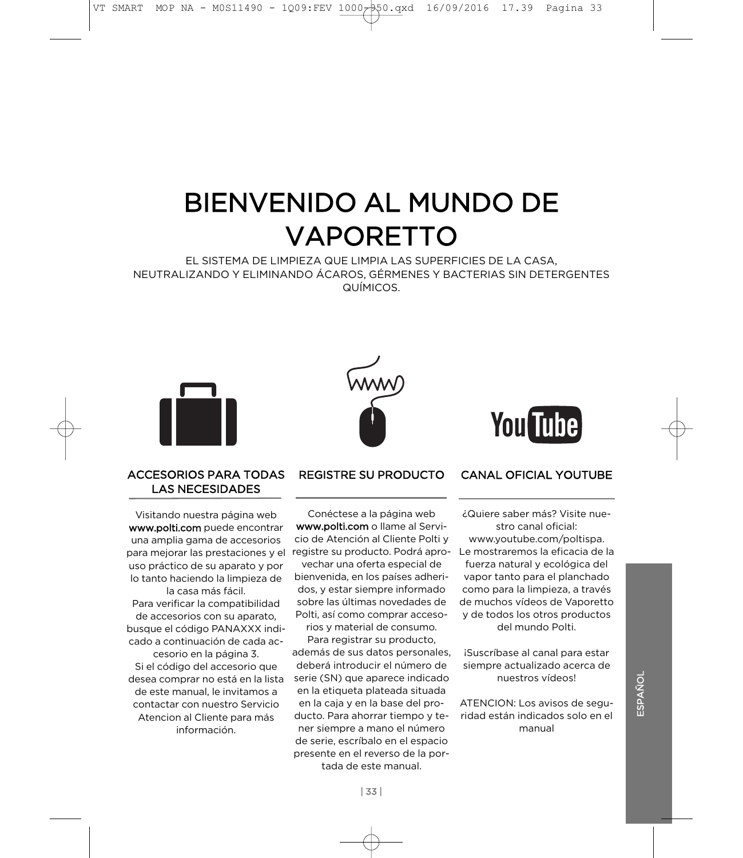# BIENVENIDO AL MUNDO DE<br>VAPORETTO

EL SISTEMA DE LIMPIEZA QUE LIMPIA LAS SUPERFICIES DE LA CASA,<br>NEUTRALIZANDO Y ELIMINANDO ÁCAROS, GÉRMENES Y BACTERIAS SIN DETERGENTES  $\Omega$ LIMICOS



#### **ACCESORIOS PARA TODAS LAS NECESIDADES** LAS NECESIDADES

Visitando nuestra página web<br>www.polti.com puede encontrar una amplia gama de accesorios para mejorar las prestaciones y el uso práctico de su aparato y por lo tanto haciendo la limpieza de la casa más fácil. Para verificar la compatibilidad de accesorios con su aparato, busque el código PANAXXX indicado a continuación de cada accesorio en la página 3. Si el código del accesorio que desea comprar no está en la lista de este manual, le invitamos a contactar con nuestro Servicio Atencion al Cliente para más información.

#### **REGISTRE SU PRODUCTO** REGISTRE SU PRODUCTO

Conéctese a la página web www.polti.com o llame al Servicio de Atención al Cliente Polti y registre su producto. Podrá apro-

vechar una oferta especial de bienvenida, en los países adheridos, y estar siempre informado sobre las últimas novedades de Polti, así como comprar acceso-

rios y material de consumo. Para registrar su producto.

además de sus datos personales. deberá introducir el número de serie (SN) que aparece indicado en la etiqueta plateada situada en la caja y en la base del producto. Para ahorrar tiempo y tener siempre a mano el número de serie, escríbalo en el espacio presente en el reverso de la portada de este manual.

**You Tube** 

#### **CANAL OFICIAL YOUTUBE** CANAL OF CANAL OF CANAL OF CANAL OF

¿Quiere saber más? Visite nuestro canal oficial:

www.youtube.com/poltispa. Le mostraremos la eficacia de la fuerza natural y ecológica del vapor tanto para el planchado como para la limpieza, a través de muchos vídeos de Vaporetto v de todos los otros productos del mundo Polti.

¡Suscríbase al canal para estar siempre actualizado acerca de nuestros vídeos!

ATENCION: Los avisos de seguridad están indicados solo en el manual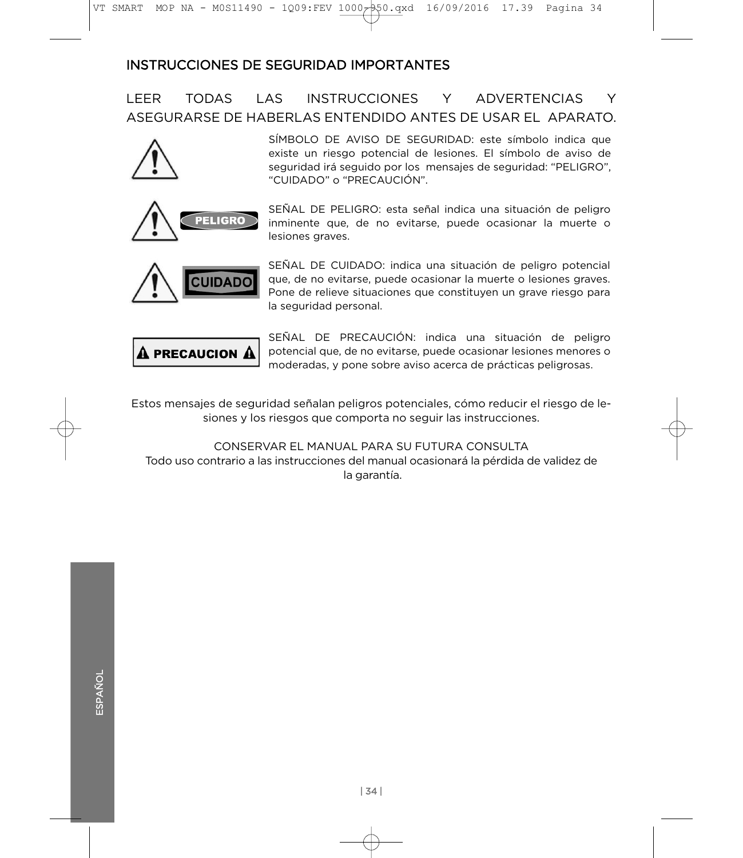# **INSTRUCCIONES DE SEGURIDAD IMPORTANTES**

#### **I FFR TODAS**  $A$ **INSTRUCCIONES** Y. **ADVERTENCIAS** Y ASEGURARSE DE HABERLAS ENTENDIDO ANTES DE USAR EL APARATO.



existe un riesgo potencial de lesiones. El símbolo de aviso de seguridad irá seguido por los mensajes de seguridad: "PELIGRO", "CUIDADO" o "PRECAUCIÓN".



**IDAD** 

inminente que, de no evitarse, puede ocasionar la muerte o lesiones graves. lesiones graves.

SEÑAL DE PELIGRO: esta señal indica una situación de peligro

SÍMBOLO DE AVISO DE SEGURIDAD: este símbolo indica que

SEÑAL DE CUIDADO: indica una situación de peligro potencial que, de no evitarse, puede ocasionar la muerte o lesiones graves. Pone de relieve situaciones que constituyen un grave riesgo para la seguridad personal. la seguridad personal.



SEÑAL DE PRECAUCIÓN: indica una situación de peligro potencial que, de no evitarse, puede ocasionar lesiones menores o moderadas, y pone sobre aviso acerca de prácticas peligrosas. moderadas, y pone sobre aviso acerca de prácticas peligrosas.

Estos mensajes de seguridad señalan peligros potenciales, cómo reducir el riesgo de lesiones y los riesgos que comporta no seguir las instrucciones.

CONSERVAR EL MANUAL PARA SU FUTURA CONSULTA Todo uso contrario a las instrucciones del manual ocasionará la pérdida de validez de  $T_{\rm c}$ la garantía.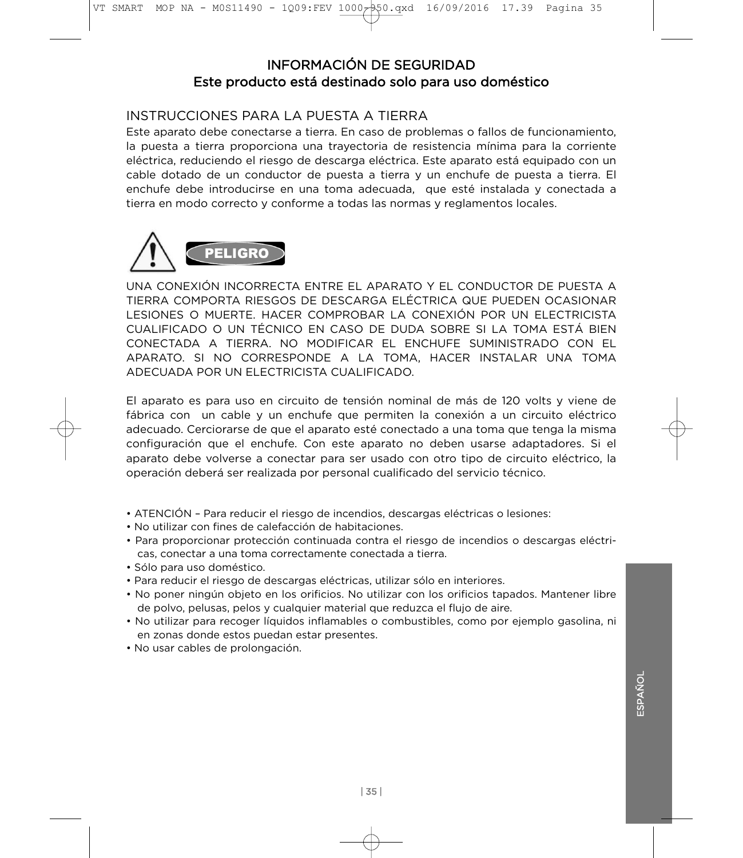#### INFORMACIÓN DE SEGURIDAD Este producto está destinado solo para uso doméstico Este producto está destinado solo para uso doméstico

## INSTRUCCIONES PARA LA PUESTA A TIERRA

Este aparato debe conectarse a tierra. En caso de problemas o fallos de funcionamiento. la puesta a tierra proporciona una trayectoria de resistencia mínima para la corriente eléctrica, reduciendo el riesgo de descarga eléctrica. Este aparato está equipado con un cable dotado de un conductor de puesta a tierra y un enchufe de puesta a tierra. El enchufe debe introducirse en una toma adecuada, que esté instalada y conectada a tierra en modo correcto y conforme a todas las normas y reglamentos locales. tierra en modo correcto y conforme a todas las normas y reglamentos locales.



UNA CONEXIÓN INCORRECTA ENTRE EL APARATO Y EL CONDUCTOR DE PUESTA A TIERRA COMPORTA RIESGOS DE DESCARGA ELÉCTRICA QUE PUEDEN OCASIONAR LESIONES O MUERTE, HACER COMPROBAR LA CONEXIÓN POR UN ELECTRICISTA CUALIFICADO O UN TÉCNICO EN CASO DE DUDA SOBRE SI LA TOMA ESTÁ BIEN CONECTADA A TIERRA. NO MODIFICAR EL ENCHUFE SUMINISTRADO CON EL APARATO, SI NO CORRESPONDE A LA TOMA, HACER INSTALAR UNA TOMA ADECUADA POR UN ELECTRICISTA CUALIFICADO.

El aparato es para uso en circuito de tensión nominal de más de 120 volts y viene de fábrica con un cable y un enchufe que permiten la conexión a un circuito eléctrico adecuado. Cerciorarse de que el aparato esté conectado a una toma que tenga la misma configuración que el enchufe. Con este aparato no deben usarse adaptadores. Si el aparato debe volverse a conectar para ser usado con otro tipo de circuito eléctrico, la operación deberá ser realizada por personal cualificado del servicio técnico. operación deberá ser realizada por personal cualificado del servicio técnico.

- ATENCIÓN Para reducir el riesgo de incendios, descargas eléctricas o lesiones:<br>• No utilizar con fines de calefacción de habitaciones.
- 
- Para proporcionar protección continuada contra el riesgo de incendios o descargas eléctricas, conectar a una toma correctamente conectada a tierra.
- · Sólo para uso doméstico.
- Para reducir el riesgo de descargas eléctricas, utilizar sólo en interiores.
- No poner ningún objeto en los orificios. No utilizar con los orificios tapados. Mantener libre de polvo, pelusas, pelos y cualquier material que reduzca el flujo de aire.
- No utilizar para recoger líquidos inflamables o combustibles, como por ejemplo gasolina, ni en zonas donde estos puedan estar presentes.
- No usar cables de prolongación. • No usar cables de prolongación.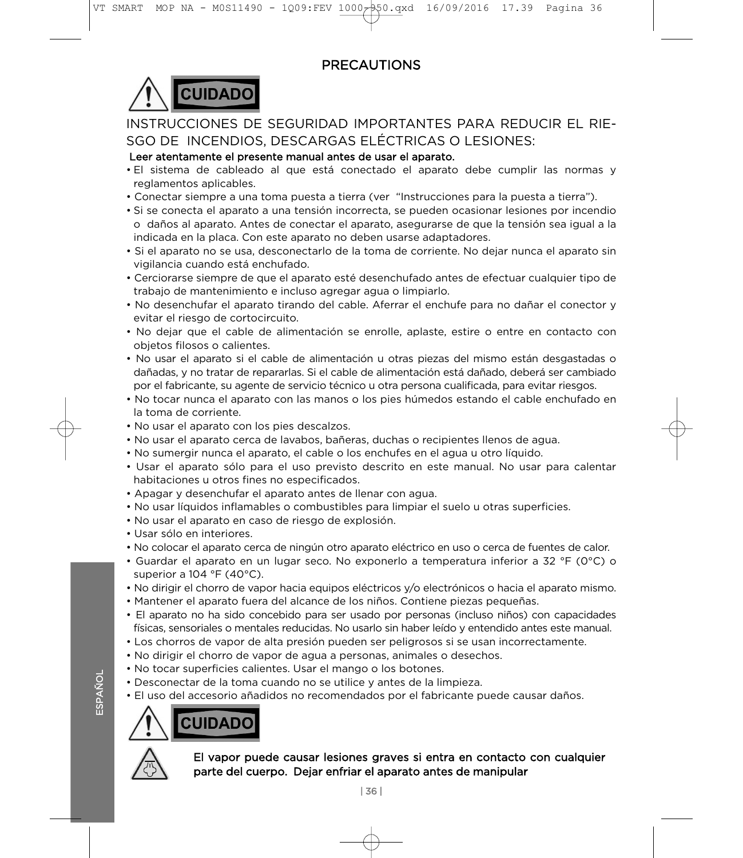# **PRECAUTIONS**



# INSTRUCCIONES DE SEGURIDAD IMPORTANTES PARA REDUCIR EL RIE-SGO DE INCENDIOS, DESCARGAS ELÉCTRICAS O LESIONES:

#### Leer atentamente el presente manual antes de usar el aparato.

- . El sistema de cableado al que está conectado el aparato debe cumplir las normas y reglamentos aplicables.
- Conectar siempre a una toma puesta a tierra (ver "Instrucciones para la puesta a tierra").
- Si se conecta el aparato a una tensión incorrecta, se pueden ocasionar lesiones por incendio o daños al aparato. Antes de conectar el aparato, asegurarse de que la tensión sea igual a la indicada en la placa. Con este aparato no deben usarse adaptadores.
- Si el aparato no se usa, desconectarlo de la toma de corriente. No dejar nunca el aparato sin vigilancia cuando está enchufado.
- Cerciorarse siempre de que el aparato esté desenchufado antes de efectuar cualquier tipo de trabajo de mantenimiento e incluso agregar agua o limpiarlo.
- No desenchufar el aparato tirando del cable. Aferrar el enchufe para no dañar el conector y evitar el riesgo de cortocircuito.
- No dejar que el cable de alimentación se enrolle, aplaste, estire o entre en contacto con objetos filosos o calientes.
- No usar el aparato si el cable de alimentación u otras piezas del mismo están desgastadas o dañadas, y no tratar de repararlas. Si el cable de alimentación está dañado, deberá ser cambiado por el fabricante, su agente de servicio técnico u otra persona cualificada, para evitar riesgos,
- No tocar nunca el aparato con las manos o los pies húmedos estando el cable enchufado en la toma de corriente.
- No usar el aparato con los pies descalzos.
- No usar el aparato cerca de lavabos, bañeras, duchas o recipientes llenos de agua.
- No sumergir nunca el aparato, el cable o los enchufes en el agua u otro líquido.
- Usar el aparato sólo para el uso previsto descrito en este manual. No usar para calentar habitaciones u otros fines no especificados.
- Apagar y desenchufar el aparato antes de llenar con agua.
- No usar líquidos inflamables o combustibles para limpiar el suelo u otras superficies.
- No usar el aparato en caso de riesgo de explosión.
- Usar sólo en interiores.
- No colocar el aparato cerca de ningún otro aparato eléctrico en uso o cerca de fuentes de calor.
- Guardar el aparato en un lugar seco. No exponerlo a temperatura inferior a 32 °F (0°C) o superior a 104  $\degree$ F (40 $\degree$ C).
- No dirigir el chorro de vapor hacia equipos eléctricos y/o electrónicos o hacia el aparato mismo.
- Mantener el aparato fuera del alcance de los niños. Contiene piezas pequeñas.
- El aparato no ha sido concebido para ser usado por personas (incluso niños) con capacidades físicas, sensoriales o mentales reducidas. No usarlo sin haber leído y entendido antes este manual.
- Los chorros de vapor de alta presión pueden ser peligrosos si se usan incorrectamente.
- No dirigir el chorro de vapor de agua a personas, animales o desechos.
- No tocar superficies calientes. Usar el mango o los botones.
- Desconectar de la toma cuando no se utilice y antes de la limpieza.
- El uso del accesorio añadidos no recomendados por el fabricante puede causar daños.  $\overline{\phantom{a}}$





ESPAÑOL

ESPAÑOL

# $E = \frac{1}{2}$ parte del cuerpo. Dejar enfriar el aparato antes de manipular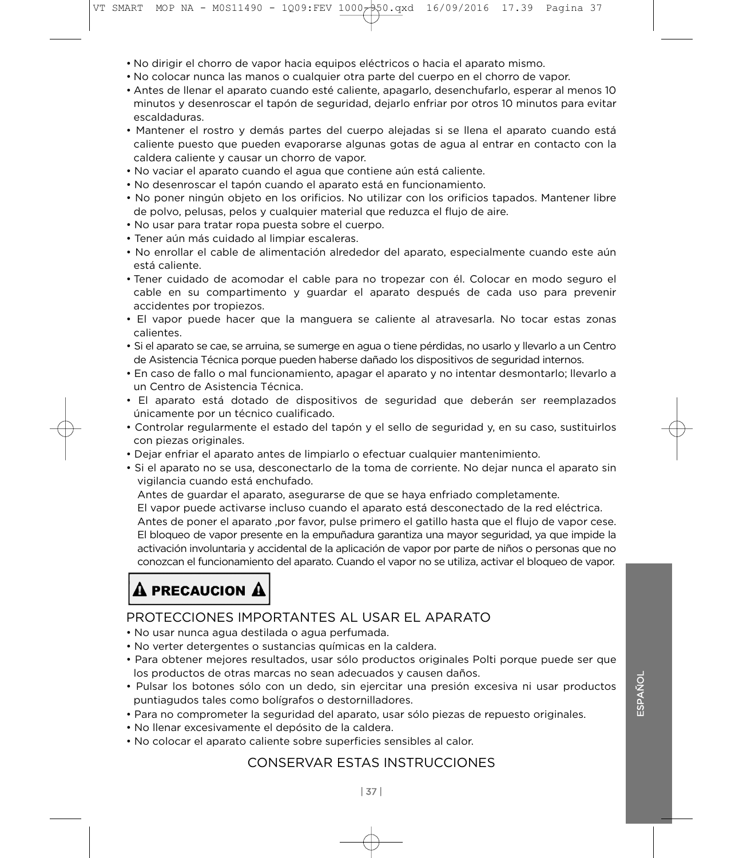- No dirigir el chorro de vapor hacia equipos eléctricos o hacia el aparato mismo.
- 
- Antes de llenar el aparato cuando esté caliente, apagarlo, desenchufarlo, esperar al menos 10 minutos y desenroscar el tapón de seguridad, dejarlo enfriar por otros 10 minutos para evitar escaldaduras.
- Mantener el rostro y demás partes del cuerpo alejadas si se llena el aparato cuando está caliente puesto que pueden evaporarse algunas gotas de agua al entrar en contacto con la caldera caliente y causar un chorro de vapor.
- No vaciar el aparato cuando el agua que contiene aún está caliente.
- No desenroscar el tapón cuando el aparato está en funcionamiento.
- No poner ningún objeto en los orificios. No utilizar con los orificios tapados. Mantener libre de polvo, pelusas, pelos y cualquier material que reduzca el flujo de aire.
- No usar para tratar ropa puesta sobre el cuerpo.
- Tener aún más cuidado al limpiar escaleras.
- No enrollar el cable de alimentación alrededor del aparato, especialmente cuando este aún  $\bullet$  de align $\bullet$  de alimentación algorithmente cuando este aún de algorithmente cuando este aún do este aún do este aún do este aún do este aún do este aún do este aún do este aún do este aún do este aún do este aún do e
- Tener cuidado de acomodar el cable para no tropezar con él. Colocar en modo seguro el cable en su compartimento y guardar el aparato después de cada uso para prevenir accidentes por tropiezos.
- El vapor puede hacer que la manguera se caliente al atravesarla. No tocar estas zonas  $\epsilon$ el interestas se calientes al atravesarla. No tocar estas zonas zonas zonas zonas  $\epsilon$
- Si el aparato se cae, se arruina, se sumerge en agua o tiene pérdidas, no usarlo y llevarlo a un Centro de Asistencia Técnica porque pueden haberse dañado los dispositivos de seguridad internos.
- En caso de fallo o mal funcionamiento, apagar el aparato y no intentar desmontarlo; llevarlo a un Centro de Asistencia Técnica.
- · El aparato está dotado de dispositivos de seguridad que deberán ser reemplazados únicamente por un técnico cualificado.
- Controlar regularmente el estado del tapón y el sello de seguridad y, en su caso, sustituirlos con piezas originales.
- Dejar enfriar el aparato antes de limpiarlo o efectuar cualquier mantenimiento.
- Si el aparato no se usa, desconectarlo de la toma de corriente. No dejar nunca el aparato sin vigilancia cuando está enchufado.

Antes de guardar el aparato, asegurarse de que se haya enfriado completamente.

El vapor puede activarse incluso cuando el aparato está desconectado de la red eléctrica.

Antes de poner el aparato , por favor, pulse primero el gatillo hasta que el flujo de vapor cese. El bloqueo de vapor presente en la empuñadura garantiza una mayor seguridad, ya que impide la activación involuntaria y accidental de la aplicación de vapor por parte de niños o personas que no conozcan el funcionamiento del aparato. Cuando el vapor no se utiliza, activar el bloqueo de vapor. conozcan el funcionamiento del aparato. Cuando el vapor no se utilizar el vapor no se utilizar el bloqueo de v

# $\bf{\Delta}$  precaucion  $\bf{\Delta}$

# PROTECCIONES IMPORTANTES AL USAR EL APARATO

- 
- No verter detergentes o sustancias químicas en la caldera.
- Para obtener mejores resultados, usar sólo productos originales Polti porque puede ser que los productos de otras marcas no sean adecuados y causen daños.
- · Pulsar los botones sólo con un dedo, sin ejercitar una presión excesiva ni usar productos puntiagudos tales como bolígrafos o destornilladores.
- Para no comprometer la seguridad del aparato, usar sólo piezas de repuesto originales.
- No llenar excesivamente el depósito de la caldera.
- No colocar el anarato caliente sobre superficies se • No colocar el aparato caliente sobre superficies sensibles al calor.

## **CONSERVAR ESTAS INSTRUCCIONES**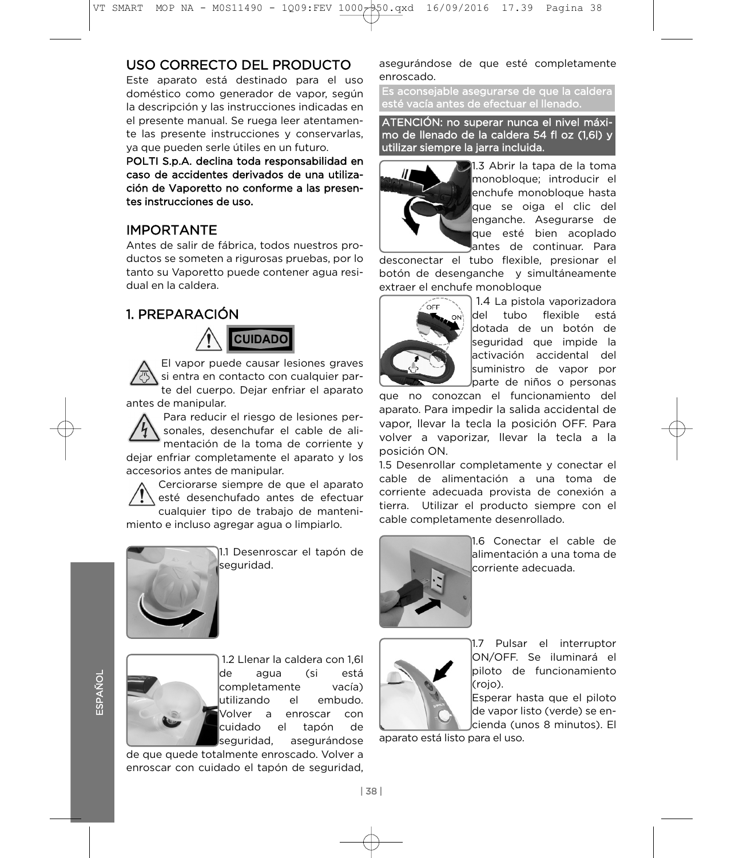# USO CORRECTO DEL PRODUCTO

Este aparato está destinado para el uso doméstico como generador de vapor, según la descripción y las instrucciones indicadas en el presente manual. Se ruega leer atentamente las presente instrucciones y conservarlas, ya que pueden serle útiles en un futuro.

POLTI S.p.A. declina toda responsabilidad en caso de accidentes derivados de una utilización de Vaporetto no conforme a las presentes instrucciones de uso.

# **IMPORTANTE**

Antes de salir de fábrica, todos nuestros productos se someten a rigurosas pruebas, por lo tanto su Vaporetto puede contener aqua residual en la caldera.

#### 1. PREPARACIÓN  $\overline{1}$



El vapor puede causar lesiones graves<br>si entra en contacto con cualquier parte del cuerpo. Dejar enfriar el aparato antes de manipular.

Para reducir el riesgo de lesiones personales, desenchufar el cable de alimentación de la toma de corriente y dejar enfriar completamente el aparato y los accesorios antes de manipular.

Cerciorarse siempre de que el aparato. esté desenchufado antes de efectuar cualquier tipo de trabajo de mantenimiento e incluso agregar agua o limpiarlo. miento e incluso agregar agua o limpiarlo.



11.1 Desenroscar el tapón de<br>|seguridad. seguridad.



1.2 Llenar la caldera con 1,6l completamente vacía) lutilizando el embudo. Wolver a enroscar con cuidado el tapón de seguridad, asegurándose

de que quede totalmente enroscado. Volver a enroscar con cuidado el tapón de seguridad. enroscar con cuidado el tapón de seguridad,

asegurándose de que esté completamente<br>enroscado.

Es aconsejable asegurarse de que la caldera esté vacía antes de efectuar el llenado.

ATENCIÓN: no superar nunca el nivel máximo de llenado de la caldera 54 fl oz (1,6l) y utilizar siempre la jarra incluida.



1.3 Abrir la tapa de la toma<br>monobloque; introducir el enchufe monobloque hasta que se oiga el clic del enganche. Asegurarse de que esté bien acoplado antes de continuar. Para

desconectar el tubo flexible, presionar el botón de desenganche y simultáneamente extraer el enchufe monobloque



 $\sqrt{\epsilon}$  1.4 La pistola vaporizadora ldel tubo flexible está dotada de un botón de lseauridad aue impide la activación accidental del suministro de vapor por barte de niños o personas

que no conozcan el funcionamiento del aparato. Para impedir la salida accidental de vapor. Ilevar la tecla la posición OFF. Para volver a vaporizar, llevar la tecla a la posición ON.

n<br>1.5 Desenrollar completamente y conectar el<br>cable de alimentación a una toma de corriente adecuada provista de conexión a tierra. Utilizar el producto siempre con el cable completamente desenrollado. cable completamente desenrollado.



1.6 Conectar el cable de<br>alimentación a una toma de lcorriente adecuada corriente adecuada.



11.7 Pulsar el interruptor<br>ION/OFF. Se iluminará el lpiloto de funcionamiento (rojo).

Esperar hasta que el piloto de vapor listo (verde) se enlcienda (unos 8 minutos). El

aparato está listo para el uso. aparato está listo para el uso.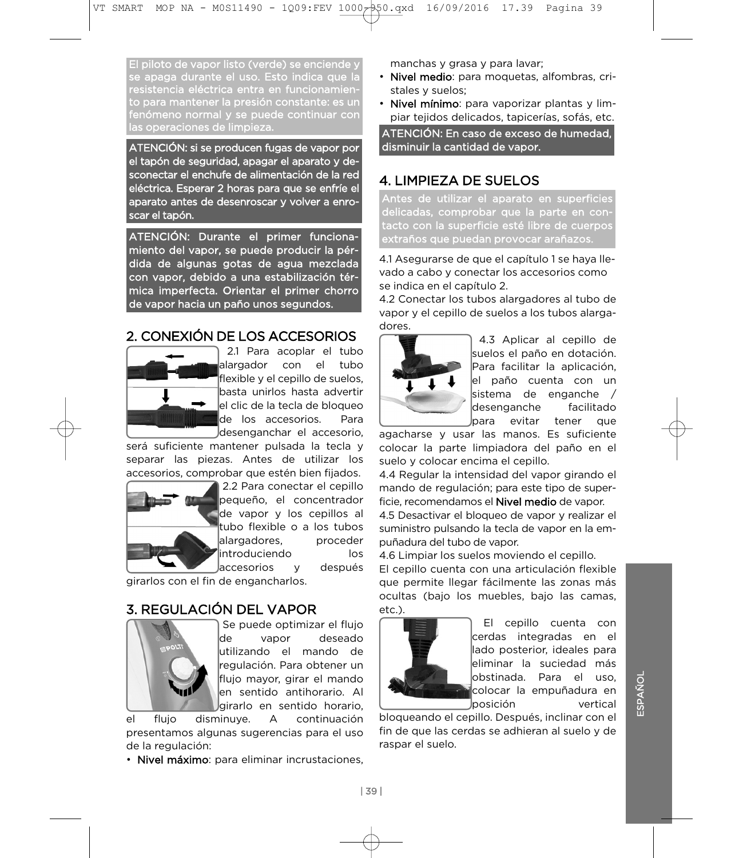El piloto de vapor listo (verde) se enciende y se apaga durante el uso. Esto indica que la resistencia eléctrica entra en funcionamiento para mantener la presión constante: es un fenómeno normal y se puede continuar con las operaciones de limpieza.

ATENCIÓN: si se producen fugas de vapor por sconectar el enchufe de alimentación de la red eléctrica. Esperar 2 horas para que se enfríe el aparato antes de desenroscar y volver a enroscar el tapón. scar el tapón.

ATENCIÓN: Durante el primer funcionadida de algunas gotas de agua mezclada con vapor, debido a una estabilización térmica imperfecta. Orientar el primer chorro de vapor hacia un paño unos segundos. de vapor hacia un paño unos segundos.

# 2. CONEXIÓN DE LOS ACCESORIOS



2.1 Para acoplar el tubo lalargador con el tubo flexible y el cepillo de suelos, basta unirlos hasta advertir lel clic de la tecla de bloqueo de los accesorios. Para desenganchar el accesorio.

será suficiente mantener pulsada la tecla y separar las piezas. Antes de utilizar los accesorios, comprobar que estén bien fijados.



2.2 Para conectar el cepillo pequeño, el concentrador de vapor y los cepillos al tubo flexible o a los tubos alargadores, proceder  $\parallel$ introduciendo $\parallel$ os Jaccesorios v después

de engancharlos girarlos con el fin de engancharlos.

# 3. REGULACIÓN DEL VAPOR



Se puede optimizar el fluio lde vapor deseado utilizando el mando de regulación. Para obtener un flujo mayor, girar el mando en sentido antihorario. Al girarlo en sentido horario.

 $el$ fluio disminuve. A continuación presentamos algunas sugerencias para el uso. de la regulación:

· Nivel máximo: para eliminar incrustaciones, • Nivel máximo: para eliminar incrustaciones,

- manchas y grasa y para lavar;<br>• **Nivel medio**: para moquetas, alfombras, cristales v suelos:
- Nivel mínimo: para vaporizar plantas y limpiar tejidos delicados, tapicerías, sofás, etc.

ATENCIÓN: En caso de exceso de humedad. disminuir la cantidad de vapor. disminuir la cantidad de vapor.

# 4. LIMPIEZA DE SUELOS

Antes de utilizar el aparato en superficies delicadas, comprobar que la parte en contacto con la superficie esté libre de cuerpos extraños que nuedan provocar arañazos esté extraños que puedan provocar arañazos.

4.1 Asegurarse de que el capítulo 1 se haya llese indica en el capítulo 2.

4.2 Conectar los tubos alargadores al tubo de vapor y el cepillo de suelos a los tubos alargadores



4.3 Aplicar al cepillo de<br>suelos el paño en dotación. Para facilitar la aplicación, el paño cuenta con un  $\sf l$ sistema de enganche / ldesenganche facilitado )para evitar tener que

agacharse y usar las manos. Es suficiente colocar la parte limpiadora del paño en el suelo y colocar encima el cepillo.

4.4 Regular la intensidad del vapor girando el mando de regulación: para este tipo de superficie, recomendamos el **Nivel medio** de vapor.

4.5 Desactivar el bloqueo de vapor y realizar el suministro pulsando la tecla de vapor en la empuñadura del tubo de vapor.

4.6 Limpiar los suelos moviendo el cepillo.

El cepillo cuenta con una articulación flexible. que permite llegar fácilmente las zonas más ocultas (bajo los muebles, bajo las camas,  $\alpha$ 



El cepillo cuenta con cerdas integradas en el llado posterior, ideales para eliminar la suciedad más lobstinada. Para el uso. colocar la empuñadura en Jposición vertical

bloqueando el cepillo. Después, inclinar con el fin de que las cerdas se adhieran al suelo y de ras par el suelo. raspar el suelo.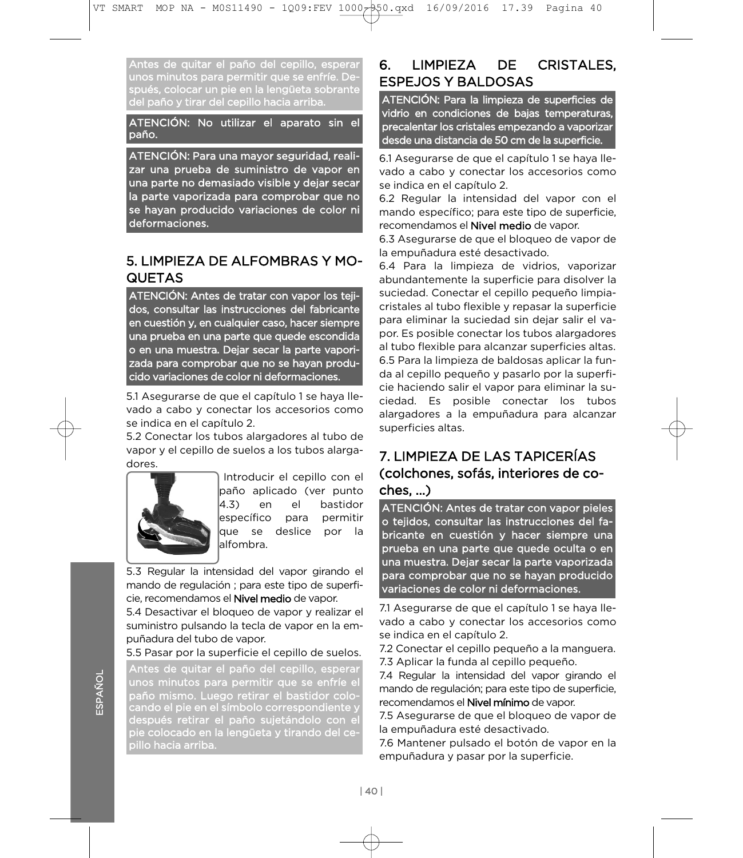Antes de quitar el paño del cepillo, esperar unos minutos para permitir que se enfríe. Después, colocar un pie en la lengüeta sobrante del paño y tirar del cepillo hacia arriba.

ATENCIÓN: No utilizar el aparato sin el paño.

ATENCIÓN: Para una mayor seguridad, realiuna parte no demasiado visible y dejar secar la parte vaporizada para comprobar que no se hayan producido variaciones de color ni deformaciones. deformaciones.

# 5. LIMPIEZA DE ALFOMBRAS Y MO-**QUETAS**

ATENCIÓN: Antes de tratar con vapor los tejidos, consultar las instrucciones del fabricante en cuestión y, en cualquier caso, hacer siempre una prueba en una parte que quede escondida o en una muestra. Dejar secar la parte vaporizada para comprobar que no se hayan producido variaciones de color ni deformaciones. cido variaciones de color ni deformaciones.

5.1 Asegurarse de que el capítulo 1 se haya llese indica en el capítulo 2.

5.2 Conectar los tubos alargadores al tubo de vapor y el cepillo de suelos a los tubos alargavalor y el cepillo de suelos a los tubos a los tubos alarga-<br>doras



Introducir el cepillo con el<br>paño aplicado (ver punto 4.3) en el bastidor específico para permitir laue se deslice por la alfombra.

5.3 Regular la intensidad del vapor girando el mando de regulación : para este tipo de superficie, recomendamos el **Nivel medio** de vapor.

5.4 Desactivar el bloqueo de vapor y realizar el suministro pulsando la tecla de vapor en la empuñadura del tubo de vapor.

5.5 Pasar por la superficie el cepillo de suelos.

Antes de quitar el paño del cepillo, esperai  $\frac{1}{2}$ paño mismo. Luego retirar el bastidor colo-<br>cando el pie en el símbolo correspondiente y cando el pie en el símbolo correspondiente y después retirar el paño sujetándolo con el pie colocado en la lengüeta y tirando del cepillo hacia arriba.

#### **LIMPIEZA** DE **DE CRISTALES.** 6. **ESPEJOS Y BALDOSAS**

ATENCIÓN: Para la limpieza de superficies de vidrio en condiciones de bajas temperaturas, precalentar los cristales empezando a vaporizar desde una distancia de 50 cm de la superficie.

vado a cabo y conectar los accesorios como se indica en el capítulo 2. 6.1 Asegurarse de que el capítulo 1 se haya lle-

6.2 Regular la intensidad del vapor con el mando específico; para este tipo de superficie, recomendamos el **Nivel medio** de vapor.

6.3 Asegurarse de que el bloqueo de vapor de la empuñadura esté desactivado.

6.4 Para la limpieza de vidrios, vaporizar abundantemente la superficie para disolver la suciedad. Conectar el cepillo pequeño limpiacristales al tubo flexible y repasar la superficie para eliminar la suciedad sin dejar salir el vapor. Es posible conectar los tubos alargadores al tubo flexible para alcanzar superficies altas. 6.5 Para la limpieza de baldosas aplicar la funda al cepillo pequeño y pasarlo por la superficie haciendo salir el vapor para eliminar la suciedad. Es posible conectar los tubos alargadores a la empuñadura para alcanzar superficies altas. superficies altas.

# 7. LIMPIEZA DE LAS TAPICERÍAS (colchones, sofás, interiores de coches, ...)

ATENCIÓN: Antes de tratar con vapor pieles o tejidos, consultar las instrucciones del fabricante en cuestión y hacer siempre una prueba en una parte que quede oculta o en una muestra. Dejar secar la parte vaporizada para comprobar que no se hayan producido variaciones de color ni deformaciones.

vado a cabo y conectar los accesorios como se indica en el capítulo 2. 7.1 Asegurarse de que el capítulo 1 se haya lle-

7.2 Conectar el cepillo pequeño a la manguera.

7.3 Aplicar la funda al cepillo pequeño.

7.4 Regular la intensidad del vapor girando el mando de regulación; para este tipo de superficie, recomendamos el Nivel mínimo de vapor.

7.5 Asegurarse de que el bloqueo de vapor de la empuñadura esté desactivado.

7.6 Mantener pulsado el botón de vapor en la empuñadura y pasar por la superficie. empuñadura y pasar por la superficie.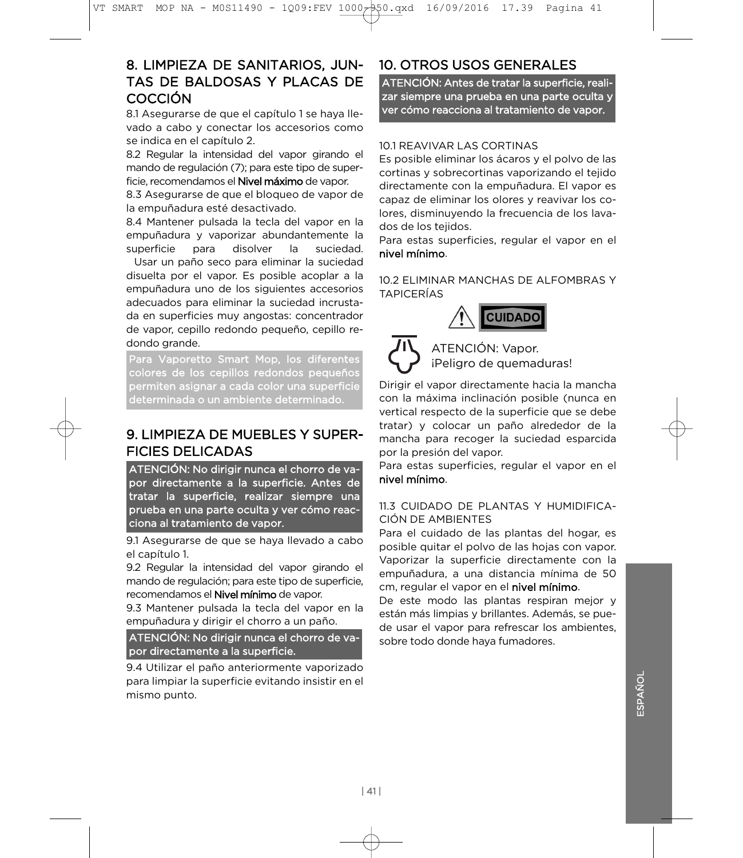# 8. LIMPIEZA DE SANITARIOS, JUN-TAS DE BALDOSAS Y PLACAS DE **COCCIÓN**

8.1 Asegurarse de que el capítulo 1 se hava llevado a cabo y conectar los accesorios como se indica en el capítulo 2.

8.2 Regular la intensidad del vapor girando el mando de regulación (7); para este tipo de superficie, recomendamos el **Nivel máximo** de vapor.

8.3 Asegurarse de que el bloqueo de vapor de la empuñadura esté desactivado.

8.4 Mantener pulsada la tecla del vapor en la empuñadura y vaporizar abundantemente la superficie para disolver la suciedad.

Usar un paño seco para eliminar la suciedad disuelta por el vapor. Es posible acoplar a la empuñadura uno de los siguientes accesorios adecuados para eliminar la suciedad incrustada en superficies muy angostas: concentrador de vapor, cepillo redondo pequeño, cepillo redondo grande.

Para Vaporetto Smart Mop, los diferentes colores de los cepillos redondos pequeños permiten asignar a cada color una superficie .<br>determinada o un ambiente determinado determinada o un ambiente determinado.

# 9. LIMPIEZA DE MUEBLES Y SUPER-**FICIES DELICADAS**

ATENCIÓN: No dirigir nunca el chorro de vapor directamente a la superficie. Antes de tratar la superficie, realizar siempre una prueba en una parte oculta y ver cómo reacciona al tratamiento de vapor.

el capítulo 1. 9.1 Asegurarse de que se haya llevado a cabo

9.2 Regular la intensidad del vapor girando el mando de regulación; para este tipo de superficie, recomendamos el Nivel mínimo de vapor.

9.3 Mantener pulsada la tecla del vapor en la empuñadura y dirigir el chorro a un paño.

ATENCIÓN: No dirigir nunca el chorro de vapor directamente a la superficie.

para limpiar la superficie evitando insistir en el mismo punto. mismo punto. 9.4 Utilizar el paño anteriormente vaporizado

# 10. OTROS USOS GENERALES

ATENCIÓN: Antes de tratar la superficie, realizar siempre una prueba en una parte oculta y ver cómo reacciona al tratamiento de vapor. ver cómo reacciona al tratamiento de vapor.

#### 10.1 REAVIVAR LAS CORTINAS

Es posible eliminar los ácaros y el polvo de las cortinas y sobrecortinas vaporizando el tejido directamente con la empuñadura. El vapor es capaz de eliminar los olores y reavivar los colores, disminuyendo la frecuencia de los lavados de los teiidos.

Para estas superficies, regular el vapor en el nivel mínimo.

10.2 ELIMINAR MANCHAS DE ALFOMBRAS Y **TAPICERÍAS** 





ATENCIÓN: Vapor. iPeligro de quemaduras!

con la máxima inclinación posible (nunca en vertical respecto de la superficie que se debe tratar) y colocar un paño alrededor de la mancha para recoger la suciedad esparcida por la presión del vapor. Dirigir el vapor directamente hacia la mancha

Para estas superficies, regular el vapor en el nivel mínimo.

#### 11.3 CUIDADO DE PLANTAS Y HUMIDIFICA-**CIÓN DE AMBIENTES**

Para el cuidado de las plantas del hogar, es posible quitar el polvo de las hojas con vapor. Vaporizar la superficie directamente con la empuñadura, a una distancia mínima de 50 cm, regular el vapor en el nivel mínimo.

De este modo las plantas respiran mejor y están más limpias y brillantes. Además, se puede usar el vapor para refrescar los ambientes, sobre todo donde haya fumadores. sobre todo donde haya fumadores.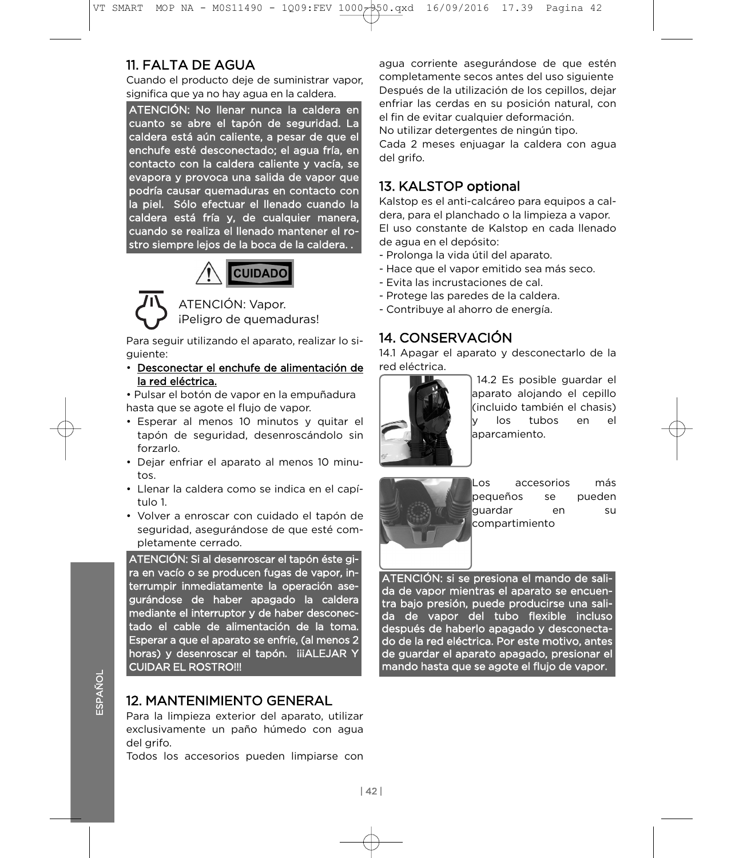# 11. FALTA DE AGUA

Cuando el producto deje de suministrar vapor. significa que ya no hay agua en la caldera.

ATENCIÓN: No llenar nunca la caldera en cuanto se abre el tapón de seguridad. La caldera está aún caliente, a pesar de que el enchufe esté desconectado; el agua fría, en contacto con la caldera caliente y vacía, se evapora y provoca una salida de vapor que podría causar quemaduras en contacto con la piel. Sólo efectuar el llenado cuando la caldera está fría y, de cualquier manera, cuando se realiza el llenado mantener el roctro siempre leios de la boca de la caldera stro siempre lejos de la boca de la caldera. .



ATENCIÓN: Vapor. iPeligro de quemaduras!

guiente: Para seguir utilizando el aparato, realizar lo si-

· Desconectar el enchufe de alimentación de la red eléctrica.

· Pulsar el botón de vapor en la empuñadura hasta que se agote el flujo de vapor.

- Esperar al menos 10 minutos y quitar el tapón de seguridad, desenroscándolo sin forzarlo.
- Dejar enfriar el aparato al menos 10 minu- $\frac{1}{\sqrt{2}}$
- · Llenar la caldera como se indica en el capí $t \cdot \ln 1$
- · Volver a enroscar con cuidado el tapón de seguridad, asegurándose de que esté completamente cerrado.

ATENCIÓN: Si al desenroscar el tapón éste gira en vacío o se producen fugas de vapor, interrumpir inmediatamente la operación asegurándose de haber apagado la caldera mediante el interruptor y de haber desconectado el cable de alimentación de la toma. Esperar a que el aparato se enfríe, (al menos 2 horas) y desenroscar el tapón. iiiALEJAR Y CUIDAR EL ROSTRO !!! CUIDAR EL ROSTRO EL ROSTRO.<br>EL ROSTRO EL ROSTRO EL ROSTRO EL ROSTRO EL ROSTRO EL ROSTRO EL ROSTRO EL ROSTRO EL ROSTRO EL ROSTRO EL ROSTRO

# **12. MANTENIMIENTO GENERAL**

Para la limpieza exterior del aparato, utilizar exclusivamente un paño húmedo con agua del arifo.

Todos los accesorios pueden limpiarse con Todos los accesorios pueden limpiarse con

agua corriente asegurándose de que estén<br>completamente secos antes del uso siguiente Después de la utilización de los cepillos, dejar enfriar las cerdas en su posición natural, con el fin de evitar cualquier deformación. No utilizar detergentes de ningún tipo.

Cada 2 meses enjuagar la caldera con agua del grifo. del grifo.

# 13. KALSTOP optional

Kalstop es el anti-calcáreo para equipos a caldera, para el planchado o la limpieza a vapor. El uso constante de Kalstop en cada llenado de agua en el depósito:

- Prolonga la vida útil del aparato.
- Hace que el vapor emitido sea más seco.
- Evita las incrustaciones de cal.
- Protege las paredes de la caldera.
- Contribuye al ahorro de energía. - Contribuye al ahorro de energía.

# 14. CONSERVACIÓN

14.1 Apagar el aparato y desconectarlo de la red eléctrica.



14.2 Es posible guardar el<br>aparato alojando el cepillo (incluido también el chasis) los tubos en el laparcamiento. aparcamiento.



ll os accesorios más pequeños se pueden lauardar en su lcompartimiento compartimiento

ATENCIÓN: si se presiona el mando de salida de vapor mientras el aparato se encuentra bajo presión, puede producirse una salida de vapor del tubo flexible incluso después de haberlo apagado y desconectado de la red eléctrica. Por este motivo, antes de guardar el aparato apagado, presionar el mando hasta que se agote el flujo de vapor.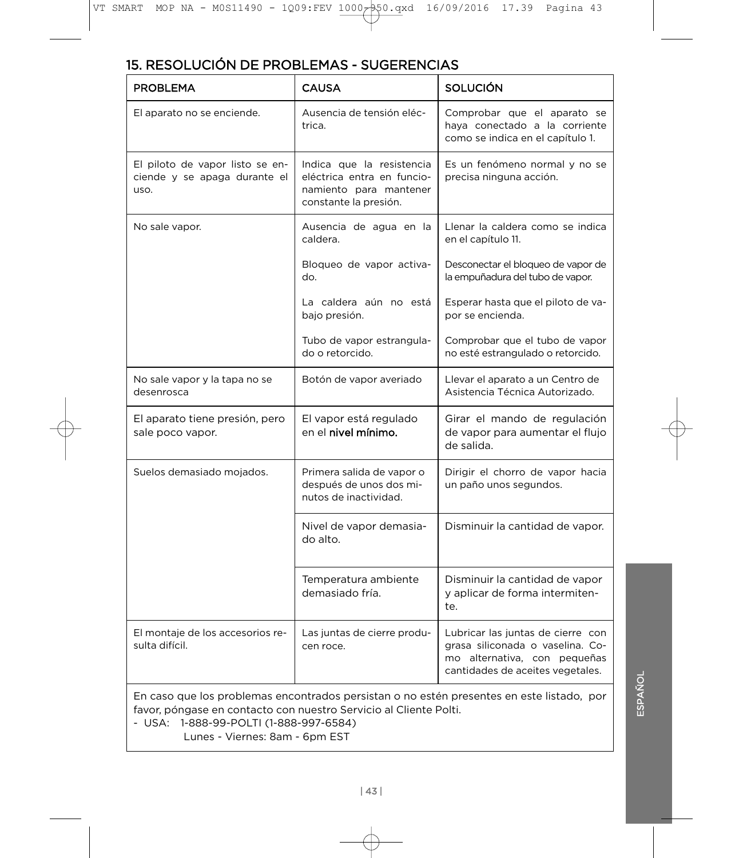# 15. RESOLUCIÓN DE PROBLEMAS - SUGERENCIAS

| <b>PROBLEMA</b>                                                         | <b>CAUSA</b>                                                                                                                                                           | <b>SOLUCIÓN</b>                                                                                                                           |
|-------------------------------------------------------------------------|------------------------------------------------------------------------------------------------------------------------------------------------------------------------|-------------------------------------------------------------------------------------------------------------------------------------------|
| El aparato no se enciende.                                              | Ausencia de tensión eléc-<br>trica.                                                                                                                                    | Comprobar que el aparato se<br>haya conectado a la corriente<br>como se indica en el capítulo 1.                                          |
| El piloto de vapor listo se en-<br>ciende y se apaga durante el<br>uso. | Indica que la resistencia<br>Es un fenómeno normal y no se<br>eléctrica entra en funcio-<br>precisa ninguna acción.<br>namiento para mantener<br>constante la presión. |                                                                                                                                           |
| No sale vapor.                                                          | Ausencia de agua en la<br>caldera.                                                                                                                                     | Llenar la caldera como se indica<br>en el capítulo 11.                                                                                    |
|                                                                         | Bloqueo de vapor activa-<br>do.                                                                                                                                        | Desconectar el bloqueo de vapor de<br>la empuñadura del tubo de vapor.                                                                    |
|                                                                         | La caldera aún no está<br>bajo presión.                                                                                                                                | Esperar hasta que el piloto de va-<br>por se encienda.                                                                                    |
|                                                                         | Tubo de vapor estrangula-<br>do o retorcido.                                                                                                                           | Comprobar que el tubo de vapor<br>no esté estrangulado o retorcido.                                                                       |
| No sale vapor y la tapa no se<br>desenrosca                             | Botón de vapor averiado                                                                                                                                                | Llevar el aparato a un Centro de<br>Asistencia Técnica Autorizado.                                                                        |
| El aparato tiene presión, pero<br>sale poco vapor.                      | El vapor está regulado<br>en el <b>nivel mínimo</b> .                                                                                                                  | Girar el mando de regulación<br>de vapor para aumentar el flujo<br>de salida.                                                             |
| Suelos demasiado mojados.                                               | Primera salida de vapor o<br>después de unos dos mi-<br>nutos de inactividad.                                                                                          | Dirigir el chorro de vapor hacia<br>un paño unos segundos.                                                                                |
|                                                                         | Nivel de vapor demasia-<br>do alto.                                                                                                                                    | Disminuir la cantidad de vapor.                                                                                                           |
|                                                                         | Temperatura ambiente<br>demasiado fría.                                                                                                                                | Disminuir la cantidad de vapor<br>y aplicar de forma intermiten-<br>te.                                                                   |
| El montaje de los accesorios re-<br>sulta difícil.                      | Las juntas de cierre produ-<br>cen roce.                                                                                                                               | Lubricar las juntas de cierre con<br>grasa siliconada o vaselina. Co-<br>mo alternativa, con pequeñas<br>cantidades de aceites vegetales. |

En caso que los problemas encontrados persistan o no estén presentes en este listado, por

- USA: 1-888-99-POLTI (1-888-997-6584)

- USA: 1-888-POLY<br>- USA: 2888-890-POLY Lunes - Viernes: 8am - 6pm EST

ESPAÑOL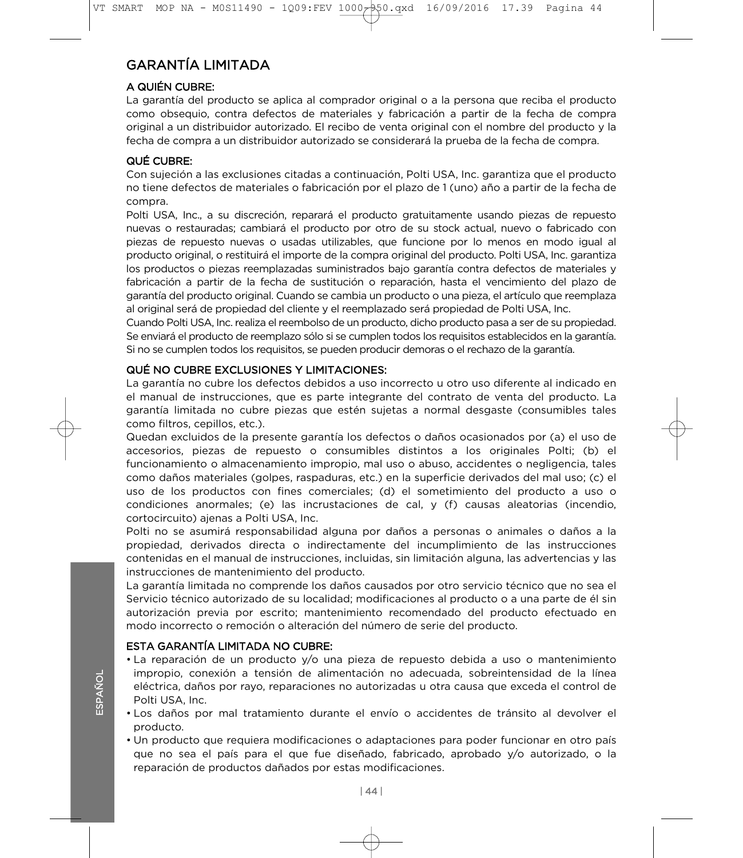# **GARANTÍA LIMITADA**

### A QUIÉN CUBRE:

La garantía del producto se aplica al comprador original o a la persona que reciba el producto como obseguio, contra defectos de materiales y fabricación a partir de la fecha de compra original a un distribuidor autorizado. El recibo de venta original con el nombre del producto y la fecha de compra a un distribuidor autorizado se considerará la prueba de la fecha de compra. fecha de compra a un distribuidor autorizado se considerará la prueba de la fecha de compra.

Con sujeción a las exclusiones citadas a continuación, Polti USA, Inc. garantiza que el producto no tiene defectos de materiales o fabricación por el plazo de 1 (uno) año a partir de la fecha de no tiene defectos de materiales o fabricación por el plazo de 1 (un o 1 de 1 (uno) año a partir de la fecha de<br>El plazo de la fecha de la fecha de la fecha de la fecha de la fecha de la fecha de la fecha de la fecha de la

Polti USA, Inc., a su discreción, reparará el producto gratuitamente usando piezas de repuesto nuevas o restauradas; cambiará el producto por otro de su stock actual, nuevo o fabricado con piezas de repuesto nuevas o usadas utilizables, que funcione por lo menos en modo igual al producto original, o restituirá el importe de la compra original del producto. Polti USA, Inc. garantiza los productos o piezas reemplazadas suministrados bajo garantía contra defectos de materiales y fabricación a partir de la fecha de sustitución o reparación, hasta el vencimiento del plazo de garantía del producto original. Cuando se cambia un producto o una pieza, el artículo que reemplaza al original será de propiedad del cliente y el reemplazado será propiedad de Polti USA. Inc.

Cuando Polti USA, Inc. realiza el reembolso de un producto, dicho producto pasa a ser de su propiedad. Se enviará el producto de reemplazo sólo si se cumplen todos los requisitos establecidos en la garantía. Si no se cumplen todos los requisitos, se pueden producir demoras o el rechazo de la garantía. Si no se cumplen todos los requisitos, se pueden producir demoras o el rechazo de la garantía.

La garantía no cubre los defectos debidos a uso incorrecto u otro uso diferente al indicado en el manual de instrucciones, que es parte integrante del contrato de venta del producto. La garantía limitada no cubre piezas que estén sujetas a normal desgaste (consumibles tales como filtros, cepillos, etc.).

Quedan excluidos de la presente garantía los defectos o daños ocasionados por (a) el uso de accesorios, piezas de repuesto o consumibles distintos a los originales Polti; (b) el funcionamiento o almacenamiento impropio, mal uso o abuso, accidentes o negligencia, tales como daños materiales (golpes, raspaduras, etc.) en la superficie derivados del mal uso; (c) el uso de los productos con fines comerciales; (d) el sometimiento del producto a uso o condiciones anormales; (e) las incrustaciones de cal, y (f) causas aleatorias (incendio, cortocircuito) ajenas a Polti USA, Inc.

Polti no se asumirá responsabilidad alguna por daños a personas o animales o daños a la propiedad, derivados directa o indirectamente del incumplimiento de las instrucciones contenidas en el manual de instrucciones, incluidas, sin limitación alguna, las advertencias y las instrucciones de mantenimiento del producto.

La garantía limitada no comprende los daños causados por otro servicio técnico que no sea el Servicio técnico autorizado de su localidad; modificaciones al producto o a una parte de él sin autorización previa por escrito; mantenimiento recomendado del producto efectuado en modo incorrecto o remoción o alteración del número de serie del producto. modo incorrecto o remoción o alteración del número de serie del producto.

- La reparación de un producto y/o una pieza de repuesto debida a uso o mantenimiento impropio, conexión a tensión de alimentación no adecuada, sobreintensidad de la línea eléctrica, daños por rayo, reparaciones no autorizadas u otra causa que exceda el control de eléctrica, daños por rayo, reparaciones no autorizadas u otra causa que exceda el control de
- Politica de la primer<br>Post de ños pr • Los daños por mal tratamiento durante el envío o accidentes de tránsito al devolver el
- Un producto que requiera modificaciones o adaptaciones para poder funcionar en otro país que no sea el país para el que fue diseñado, fabricado, aprobado y/o autorizado, o la reparación de productos dañados por estas modificaciones. reparación de productos dañados por estas modificaciones.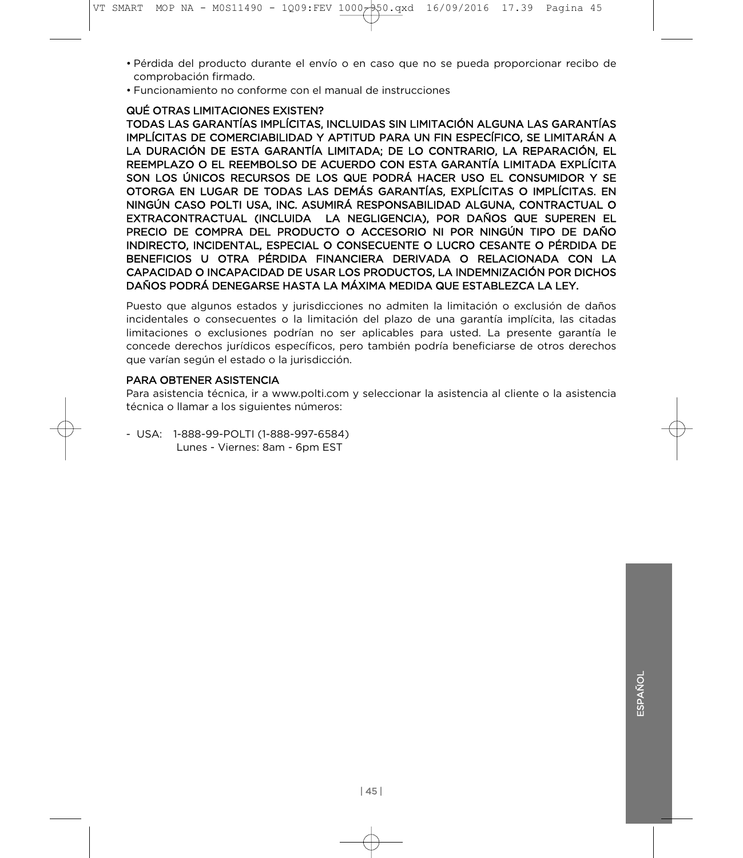- Pérdida del producto durante el envío o en caso que no se pueda proporcionar recibo de
- Funcionamiento no conforme con el manual de instrucciones

#### QUÉ OTRAS LIMITACIONES EXISTEN?

TODAS LAS GARANTÍAS IMPLÍCITAS, INCLUIDAS SIN LIMITACIÓN ALGUNA LAS GARANTÍAS IMPLÍCITAS DE COMERCIABILIDAD Y APTITUD PARA UN FIN ESPECÍFICO. SE LIMITARÁN A LA DURACIÓN DE ESTA GARANTÍA LIMITADA: DE LO CONTRARIO, LA REPARACIÓN, EL REEMPLAZO O EL REEMBOLSO DE ACUERDO CON ESTA GARANTÍA LIMITADA EXPLÍCITA SON LOS ÚNICOS RECURSOS DE LOS QUE PODRÁ HACER USO EL CONSUMIDOR Y SE OTORGA EN LUGAR DE TODAS LAS DEMÁS GARANTÍAS, EXPLÍCITAS O IMPLÍCITAS. EN NINGÚN CASO POLTI USA, INC. ASUMIRÁ RESPONSABILIDAD ALGUNA, CONTRACTUAL O EXTRACONTRACTUAL (INCLUIDA LA NEGLIGENCIA), POR DAÑOS QUE SUPEREN EL PRECIO DE COMPRA DEL PRODUCTO O ACCESORIO NI POR NINGÚN TIPO DE DAÑO INDIRECTO, INCIDENTAL, ESPECIAL O CONSECUENTE O LUCRO CESANTE O PÉRDIDA DE BENEFICIOS U OTRA PÉRDIDA FINANCIERA DERIVADA O RELACIONADA CON LA CAPACIDAD O INCAPACIDAD DE USAR LOS PRODUCTOS, LA INDEMNIZACIÓN POR DICHOS DAÑOS PODRÁ DENEGARSE HASTA LA MÁXIMA MEDIDA QUE ESTABLEZCA LA LEY.

Puesto que algunos estados y jurisdicciones no admiten la limitación o exclusión de daños<br>incidentales o consecuentes o la limitación del plazo de una garantía implícita, las citadas limitaciones o exclusiones podrían no ser aplicables para usted. La presente garantía le concede derechos jurídicos específicos, pero también podría beneficiarse de otros derechos que varían según el estado o la jurisdicción. que varían según el estado o la jurisdicción.

Para asistencia técnica, ir a www.polti.com y seleccionar la asistencia al cliente o la asistencia técnica o llamar a los siguientes números: técnica o llamar a los siguientes números:

- USA: 1-888-99-POLTI (1-888-997-6584) Lunes - Viernes: 8am - 6pm EST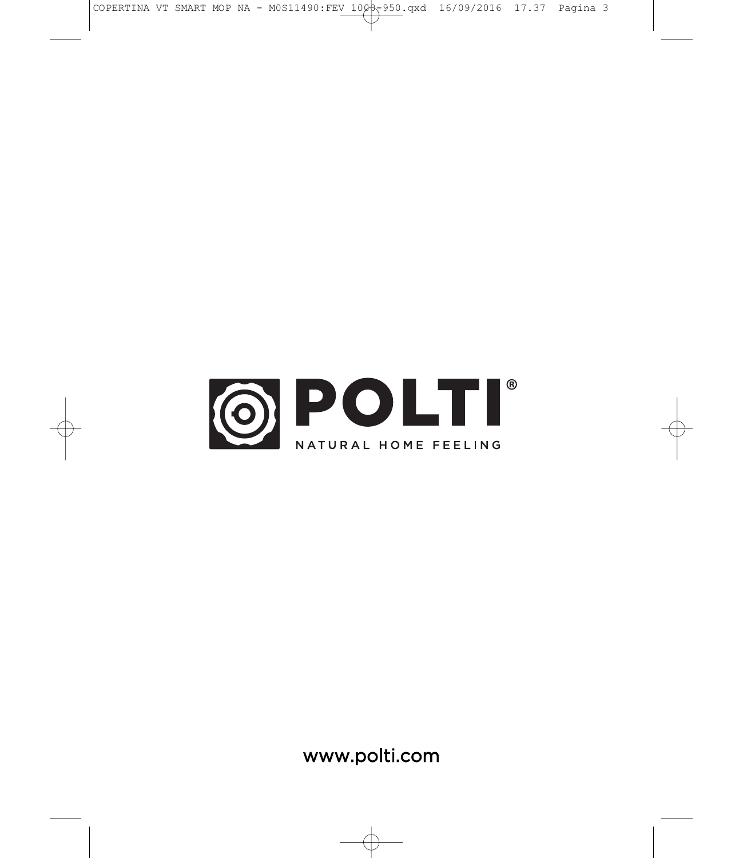

www.polti.com